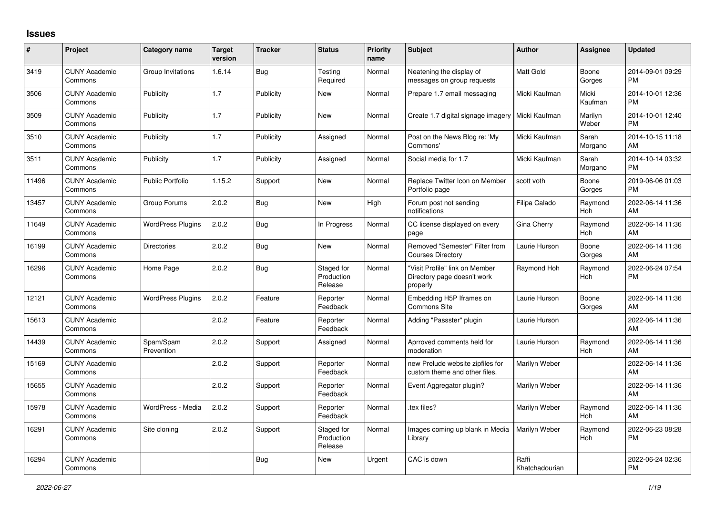## **Issues**

| #     | Project                         | <b>Category name</b>     | <b>Target</b><br>version | <b>Tracker</b> | <b>Status</b>                       | <b>Priority</b><br>name | <b>Subject</b>                                                            | <b>Author</b>           | <b>Assignee</b>  | <b>Updated</b>                |
|-------|---------------------------------|--------------------------|--------------------------|----------------|-------------------------------------|-------------------------|---------------------------------------------------------------------------|-------------------------|------------------|-------------------------------|
| 3419  | <b>CUNY Academic</b><br>Commons | Group Invitations        | 1.6.14                   | Bug            | Testing<br>Required                 | Normal                  | Neatening the display of<br>messages on group requests                    | <b>Matt Gold</b>        | Boone<br>Gorges  | 2014-09-01 09:29<br><b>PM</b> |
| 3506  | <b>CUNY Academic</b><br>Commons | Publicity                | 1.7                      | Publicity      | New                                 | Normal                  | Prepare 1.7 email messaging                                               | Micki Kaufman           | Micki<br>Kaufman | 2014-10-01 12:36<br><b>PM</b> |
| 3509  | <b>CUNY Academic</b><br>Commons | Publicity                | 1.7                      | Publicity      | <b>New</b>                          | Normal                  | Create 1.7 digital signage imagery                                        | Micki Kaufman           | Marilyn<br>Weber | 2014-10-01 12:40<br><b>PM</b> |
| 3510  | <b>CUNY Academic</b><br>Commons | Publicity                | 1.7                      | Publicity      | Assigned                            | Normal                  | Post on the News Blog re: 'My<br>Commons'                                 | Micki Kaufman           | Sarah<br>Morgano | 2014-10-15 11:18<br>AM        |
| 3511  | <b>CUNY Academic</b><br>Commons | Publicity                | 1.7                      | Publicity      | Assigned                            | Normal                  | Social media for 1.7                                                      | Micki Kaufman           | Sarah<br>Morgano | 2014-10-14 03:32<br><b>PM</b> |
| 11496 | <b>CUNY Academic</b><br>Commons | <b>Public Portfolio</b>  | 1.15.2                   | Support        | <b>New</b>                          | Normal                  | Replace Twitter Icon on Member<br>Portfolio page                          | scott voth              | Boone<br>Gorges  | 2019-06-06 01:03<br><b>PM</b> |
| 13457 | <b>CUNY Academic</b><br>Commons | Group Forums             | 2.0.2                    | <b>Bug</b>     | <b>New</b>                          | High                    | Forum post not sending<br>notifications                                   | Filipa Calado           | Raymond<br>Hoh   | 2022-06-14 11:36<br>AM        |
| 11649 | <b>CUNY Academic</b><br>Commons | <b>WordPress Plugins</b> | 2.0.2                    | Bug            | In Progress                         | Normal                  | CC license displayed on every<br>page                                     | Gina Cherry             | Raymond<br>Hoh   | 2022-06-14 11:36<br>AM        |
| 16199 | <b>CUNY Academic</b><br>Commons | Directories              | 2.0.2                    | Bug            | <b>New</b>                          | Normal                  | Removed "Semester" Filter from<br><b>Courses Directory</b>                | Laurie Hurson           | Boone<br>Gorges  | 2022-06-14 11:36<br>AM        |
| 16296 | <b>CUNY Academic</b><br>Commons | Home Page                | 2.0.2                    | Bug            | Staged for<br>Production<br>Release | Normal                  | "Visit Profile" link on Member<br>Directory page doesn't work<br>properly | Raymond Hoh             | Raymond<br>Hoh   | 2022-06-24 07:54<br><b>PM</b> |
| 12121 | <b>CUNY Academic</b><br>Commons | <b>WordPress Plugins</b> | 2.0.2                    | Feature        | Reporter<br>Feedback                | Normal                  | Embedding H5P Iframes on<br><b>Commons Site</b>                           | Laurie Hurson           | Boone<br>Gorges  | 2022-06-14 11:36<br>AM        |
| 15613 | <b>CUNY Academic</b><br>Commons |                          | 2.0.2                    | Feature        | Reporter<br>Feedback                | Normal                  | Adding "Passster" plugin                                                  | Laurie Hurson           |                  | 2022-06-14 11:36<br>AM        |
| 14439 | <b>CUNY Academic</b><br>Commons | Spam/Spam<br>Prevention  | 2.0.2                    | Support        | Assigned                            | Normal                  | Aprroved comments held for<br>moderation                                  | Laurie Hurson           | Raymond<br>Hoh   | 2022-06-14 11:36<br>AM        |
| 15169 | <b>CUNY Academic</b><br>Commons |                          | 2.0.2                    | Support        | Reporter<br>Feedback                | Normal                  | new Prelude website zipfiles for<br>custom theme and other files.         | Marilyn Weber           |                  | 2022-06-14 11:36<br>AM        |
| 15655 | <b>CUNY Academic</b><br>Commons |                          | 2.0.2                    | Support        | Reporter<br>Feedback                | Normal                  | Event Aggregator plugin?                                                  | Marilyn Weber           |                  | 2022-06-14 11:36<br>AM        |
| 15978 | <b>CUNY Academic</b><br>Commons | WordPress - Media        | 2.0.2                    | Support        | Reporter<br>Feedback                | Normal                  | tex files?                                                                | Marilyn Weber           | Raymond<br>Hoh   | 2022-06-14 11:36<br>AM        |
| 16291 | <b>CUNY Academic</b><br>Commons | Site cloning             | 2.0.2                    | Support        | Staged for<br>Production<br>Release | Normal                  | Images coming up blank in Media<br>Library                                | Marilyn Weber           | Raymond<br>Hoh   | 2022-06-23 08:28<br><b>PM</b> |
| 16294 | <b>CUNY Academic</b><br>Commons |                          |                          | <b>Bug</b>     | <b>New</b>                          | Urgent                  | CAC is down                                                               | Raffi<br>Khatchadourian |                  | 2022-06-24 02:36<br><b>PM</b> |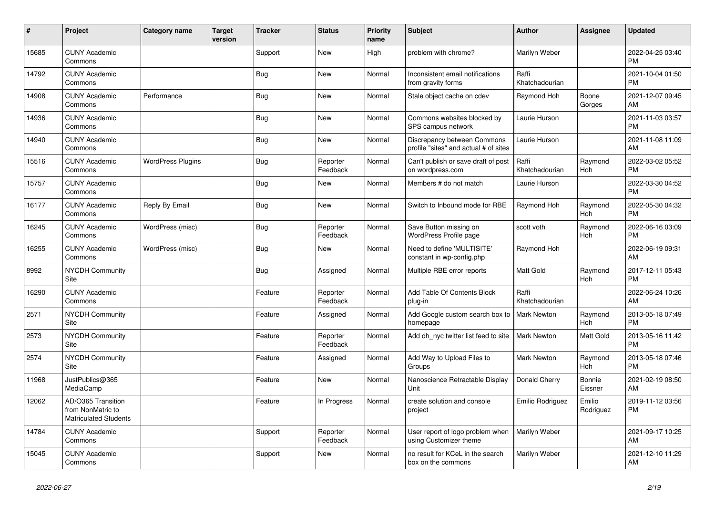| #     | Project                                                                 | <b>Category name</b>     | <b>Target</b><br>version | <b>Tracker</b> | <b>Status</b>        | <b>Priority</b><br>name | <b>Subject</b>                                                       | <b>Author</b>           | <b>Assignee</b>       | <b>Updated</b>                |
|-------|-------------------------------------------------------------------------|--------------------------|--------------------------|----------------|----------------------|-------------------------|----------------------------------------------------------------------|-------------------------|-----------------------|-------------------------------|
| 15685 | <b>CUNY Academic</b><br>Commons                                         |                          |                          | Support        | New                  | High                    | problem with chrome?                                                 | Marilyn Weber           |                       | 2022-04-25 03:40<br><b>PM</b> |
| 14792 | <b>CUNY Academic</b><br>Commons                                         |                          |                          | <b>Bug</b>     | <b>New</b>           | Normal                  | Inconsistent email notifications<br>from gravity forms               | Raffi<br>Khatchadourian |                       | 2021-10-04 01:50<br><b>PM</b> |
| 14908 | <b>CUNY Academic</b><br>Commons                                         | Performance              |                          | Bug            | <b>New</b>           | Normal                  | Stale object cache on cdev                                           | Raymond Hoh             | Boone<br>Gorges       | 2021-12-07 09:45<br>AM        |
| 14936 | <b>CUNY Academic</b><br>Commons                                         |                          |                          | <b>Bug</b>     | <b>New</b>           | Normal                  | Commons websites blocked by<br>SPS campus network                    | Laurie Hurson           |                       | 2021-11-03 03:57<br><b>PM</b> |
| 14940 | <b>CUNY Academic</b><br>Commons                                         |                          |                          | <b>Bug</b>     | <b>New</b>           | Normal                  | Discrepancy between Commons<br>profile "sites" and actual # of sites | Laurie Hurson           |                       | 2021-11-08 11:09<br>AM        |
| 15516 | <b>CUNY Academic</b><br>Commons                                         | <b>WordPress Plugins</b> |                          | Bug            | Reporter<br>Feedback | Normal                  | Can't publish or save draft of post<br>on wordpress.com              | Raffi<br>Khatchadourian | Raymond<br><b>Hoh</b> | 2022-03-02 05:52<br><b>PM</b> |
| 15757 | <b>CUNY Academic</b><br>Commons                                         |                          |                          | <b>Bug</b>     | <b>New</b>           | Normal                  | Members # do not match                                               | Laurie Hurson           |                       | 2022-03-30 04:52<br><b>PM</b> |
| 16177 | <b>CUNY Academic</b><br>Commons                                         | Reply By Email           |                          | <b>Bug</b>     | <b>New</b>           | Normal                  | Switch to Inbound mode for RBE                                       | Raymond Hoh             | Raymond<br><b>Hoh</b> | 2022-05-30 04:32<br><b>PM</b> |
| 16245 | <b>CUNY Academic</b><br>Commons                                         | WordPress (misc)         |                          | <b>Bug</b>     | Reporter<br>Feedback | Normal                  | Save Button missing on<br>WordPress Profile page                     | scott voth              | Raymond<br>Hoh        | 2022-06-16 03:09<br><b>PM</b> |
| 16255 | <b>CUNY Academic</b><br>Commons                                         | WordPress (misc)         |                          | <b>Bug</b>     | <b>New</b>           | Normal                  | Need to define 'MULTISITE'<br>constant in wp-config.php              | Raymond Hoh             |                       | 2022-06-19 09:31<br>AM        |
| 8992  | <b>NYCDH Community</b><br>Site                                          |                          |                          | Bug            | Assigned             | Normal                  | Multiple RBE error reports                                           | Matt Gold               | Raymond<br><b>Hoh</b> | 2017-12-11 05:43<br><b>PM</b> |
| 16290 | <b>CUNY Academic</b><br>Commons                                         |                          |                          | Feature        | Reporter<br>Feedback | Normal                  | Add Table Of Contents Block<br>plug-in                               | Raffi<br>Khatchadourian |                       | 2022-06-24 10:26<br>AM        |
| 2571  | <b>NYCDH Community</b><br>Site                                          |                          |                          | Feature        | Assigned             | Normal                  | Add Google custom search box to<br>homepage                          | <b>Mark Newton</b>      | Raymond<br><b>Hoh</b> | 2013-05-18 07:49<br><b>PM</b> |
| 2573  | <b>NYCDH Community</b><br>Site                                          |                          |                          | Feature        | Reporter<br>Feedback | Normal                  | Add dh nyc twitter list feed to site                                 | <b>Mark Newton</b>      | Matt Gold             | 2013-05-16 11:42<br><b>PM</b> |
| 2574  | <b>NYCDH Community</b><br><b>Site</b>                                   |                          |                          | Feature        | Assigned             | Normal                  | Add Way to Upload Files to<br>Groups                                 | Mark Newton             | Raymond<br>Hoh        | 2013-05-18 07:46<br><b>PM</b> |
| 11968 | JustPublics@365<br>MediaCamp                                            |                          |                          | Feature        | <b>New</b>           | Normal                  | Nanoscience Retractable Display<br>Unit                              | Donald Cherry           | Bonnie<br>Eissner     | 2021-02-19 08:50<br>AM        |
| 12062 | AD/O365 Transition<br>from NonMatric to<br><b>Matriculated Students</b> |                          |                          | Feature        | In Progress          | Normal                  | create solution and console<br>project                               | Emilio Rodriguez        | Emilio<br>Rodriguez   | 2019-11-12 03:56<br><b>PM</b> |
| 14784 | <b>CUNY Academic</b><br>Commons                                         |                          |                          | Support        | Reporter<br>Feedback | Normal                  | User report of logo problem when<br>using Customizer theme           | Marilyn Weber           |                       | 2021-09-17 10:25<br>AM        |
| 15045 | <b>CUNY Academic</b><br>Commons                                         |                          |                          | Support        | <b>New</b>           | Normal                  | no result for KCeL in the search<br>box on the commons               | Marilyn Weber           |                       | 2021-12-10 11:29<br>AM        |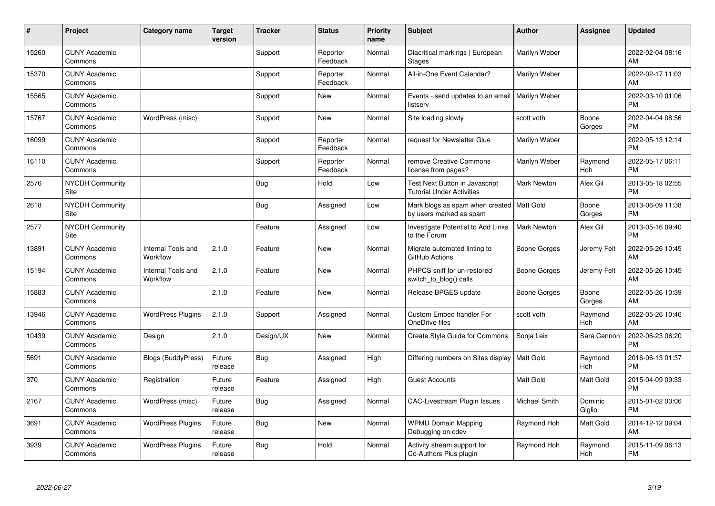| #     | Project                         | <b>Category name</b>           | <b>Target</b><br>version | <b>Tracker</b> | <b>Status</b>        | <b>Priority</b><br>name | <b>Subject</b>                                                         | <b>Author</b>      | <b>Assignee</b>       | <b>Updated</b>                |
|-------|---------------------------------|--------------------------------|--------------------------|----------------|----------------------|-------------------------|------------------------------------------------------------------------|--------------------|-----------------------|-------------------------------|
| 15260 | <b>CUNY Academic</b><br>Commons |                                |                          | Support        | Reporter<br>Feedback | Normal                  | Diacritical markings   European<br><b>Stages</b>                       | Marilyn Weber      |                       | 2022-02-04 08:16<br>AM        |
| 15370 | <b>CUNY Academic</b><br>Commons |                                |                          | Support        | Reporter<br>Feedback | Normal                  | All-in-One Event Calendar?                                             | Marilyn Weber      |                       | 2022-02-17 11:03<br>AM        |
| 15565 | <b>CUNY Academic</b><br>Commons |                                |                          | Support        | <b>New</b>           | Normal                  | Events - send updates to an email<br>listserv                          | Marilyn Weber      |                       | 2022-03-10 01:06<br><b>PM</b> |
| 15767 | <b>CUNY Academic</b><br>Commons | WordPress (misc)               |                          | Support        | <b>New</b>           | Normal                  | Site loading slowly                                                    | scott voth         | Boone<br>Gorges       | 2022-04-04 08:56<br><b>PM</b> |
| 16099 | <b>CUNY Academic</b><br>Commons |                                |                          | Support        | Reporter<br>Feedback | Normal                  | request for Newsletter Glue                                            | Marilyn Weber      |                       | 2022-05-13 12:14<br><b>PM</b> |
| 16110 | <b>CUNY Academic</b><br>Commons |                                |                          | Support        | Reporter<br>Feedback | Normal                  | remove Creative Commons<br>license from pages?                         | Marilyn Weber      | Raymond<br>Hoh        | 2022-05-17 06:11<br><b>PM</b> |
| 2576  | <b>NYCDH Community</b><br>Site  |                                |                          | <b>Bug</b>     | Hold                 | Low                     | Test Next Button in Javascript<br><b>Tutorial Under Activities</b>     | Mark Newton        | Alex Gil              | 2013-05-18 02:55<br><b>PM</b> |
| 2618  | <b>NYCDH Community</b><br>Site  |                                |                          | Bug            | Assigned             | Low                     | Mark blogs as spam when created   Matt Gold<br>by users marked as spam |                    | Boone<br>Gorges       | 2013-06-09 11:38<br><b>PM</b> |
| 2577  | <b>NYCDH Community</b><br>Site  |                                |                          | Feature        | Assigned             | Low                     | Investigate Potential to Add Links<br>to the Forum                     | <b>Mark Newton</b> | Alex Gil              | 2013-05-16 09:40<br><b>PM</b> |
| 13891 | <b>CUNY Academic</b><br>Commons | Internal Tools and<br>Workflow | 2.1.0                    | Feature        | <b>New</b>           | Normal                  | Migrate automated linting to<br>GitHub Actions                         | Boone Gorges       | Jeremy Felt           | 2022-05-26 10:45<br>AM        |
| 15194 | <b>CUNY Academic</b><br>Commons | Internal Tools and<br>Workflow | 2.1.0                    | Feature        | <b>New</b>           | Normal                  | PHPCS sniff for un-restored<br>switch_to_blog() calls                  | Boone Gorges       | Jeremy Felt           | 2022-05-26 10:45<br>AM        |
| 15883 | <b>CUNY Academic</b><br>Commons |                                | 2.1.0                    | Feature        | <b>New</b>           | Normal                  | Release BPGES update                                                   | Boone Gorges       | Boone<br>Gorges       | 2022-05-26 10:39<br>AM        |
| 13946 | <b>CUNY Academic</b><br>Commons | <b>WordPress Plugins</b>       | 2.1.0                    | Support        | Assigned             | Normal                  | Custom Embed handler For<br>OneDrive files                             | scott voth         | Raymond<br><b>Hoh</b> | 2022-05-26 10:46<br>AM        |
| 10439 | <b>CUNY Academic</b><br>Commons | Design                         | 2.1.0                    | Design/UX      | <b>New</b>           | Normal                  | <b>Create Style Guide for Commons</b>                                  | Sonja Leix         | Sara Cannon           | 2022-06-23 06:20<br><b>PM</b> |
| 5691  | <b>CUNY Academic</b><br>Commons | Blogs (BuddyPress)             | Future<br>release        | Bug            | Assigned             | High                    | Differing numbers on Sites display   Matt Gold                         |                    | Raymond<br>Hoh        | 2016-06-13 01:37<br><b>PM</b> |
| 370   | <b>CUNY Academic</b><br>Commons | Registration                   | Future<br>release        | Feature        | Assigned             | High                    | <b>Guest Accounts</b>                                                  | Matt Gold          | Matt Gold             | 2015-04-09 09:33<br><b>PM</b> |
| 2167  | <b>CUNY Academic</b><br>Commons | WordPress (misc)               | Future<br>release        | <b>Bug</b>     | Assigned             | Normal                  | <b>CAC-Livestream Plugin Issues</b>                                    | Michael Smith      | Dominic<br>Giglio     | 2015-01-02 03:06<br><b>PM</b> |
| 3691  | <b>CUNY Academic</b><br>Commons | <b>WordPress Plugins</b>       | Future<br>release        | <b>Bug</b>     | <b>New</b>           | Normal                  | <b>WPMU Domain Mapping</b><br>Debugging on cdev                        | Raymond Hoh        | Matt Gold             | 2014-12-12 09:04<br>AM        |
| 3939  | <b>CUNY Academic</b><br>Commons | <b>WordPress Plugins</b>       | Future<br>release        | <b>Bug</b>     | Hold                 | Normal                  | Activity stream support for<br>Co-Authors Plus plugin                  | Raymond Hoh        | Raymond<br>Hoh        | 2015-11-09 06:13<br>PM        |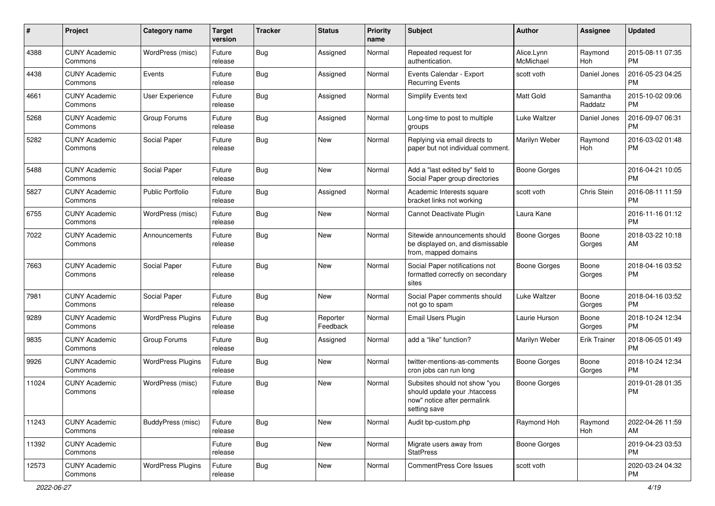| #     | Project                         | <b>Category name</b>     | Target<br>version | <b>Tracker</b> | <b>Status</b>        | <b>Priority</b><br>name | <b>Subject</b>                                                                                               | <b>Author</b>           | <b>Assignee</b>       | <b>Updated</b>                |
|-------|---------------------------------|--------------------------|-------------------|----------------|----------------------|-------------------------|--------------------------------------------------------------------------------------------------------------|-------------------------|-----------------------|-------------------------------|
| 4388  | <b>CUNY Academic</b><br>Commons | WordPress (misc)         | Future<br>release | <b>Bug</b>     | Assigned             | Normal                  | Repeated request for<br>authentication.                                                                      | Alice.Lynn<br>McMichael | Raymond<br><b>Hoh</b> | 2015-08-11 07:35<br><b>PM</b> |
| 4438  | <b>CUNY Academic</b><br>Commons | Events                   | Future<br>release | <b>Bug</b>     | Assigned             | Normal                  | Events Calendar - Export<br><b>Recurring Events</b>                                                          | scott voth              | Daniel Jones          | 2016-05-23 04:25<br><b>PM</b> |
| 4661  | <b>CUNY Academic</b><br>Commons | User Experience          | Future<br>release | <b>Bug</b>     | Assigned             | Normal                  | <b>Simplify Events text</b>                                                                                  | <b>Matt Gold</b>        | Samantha<br>Raddatz   | 2015-10-02 09:06<br><b>PM</b> |
| 5268  | <b>CUNY Academic</b><br>Commons | Group Forums             | Future<br>release | <b>Bug</b>     | Assigned             | Normal                  | Long-time to post to multiple<br>groups                                                                      | Luke Waltzer            | Daniel Jones          | 2016-09-07 06:31<br><b>PM</b> |
| 5282  | <b>CUNY Academic</b><br>Commons | Social Paper             | Future<br>release | <b>Bug</b>     | <b>New</b>           | Normal                  | Replying via email directs to<br>paper but not individual comment.                                           | Marilyn Weber           | Raymond<br>Hoh        | 2016-03-02 01:48<br><b>PM</b> |
| 5488  | <b>CUNY Academic</b><br>Commons | Social Paper             | Future<br>release | <b>Bug</b>     | <b>New</b>           | Normal                  | Add a "last edited by" field to<br>Social Paper group directories                                            | <b>Boone Gorges</b>     |                       | 2016-04-21 10:05<br>PM        |
| 5827  | <b>CUNY Academic</b><br>Commons | <b>Public Portfolio</b>  | Future<br>release | <b>Bug</b>     | Assigned             | Normal                  | Academic Interests square<br>bracket links not working                                                       | scott voth              | Chris Stein           | 2016-08-11 11:59<br>PM        |
| 6755  | <b>CUNY Academic</b><br>Commons | WordPress (misc)         | Future<br>release | <b>Bug</b>     | <b>New</b>           | Normal                  | Cannot Deactivate Plugin                                                                                     | Laura Kane              |                       | 2016-11-16 01:12<br><b>PM</b> |
| 7022  | <b>CUNY Academic</b><br>Commons | Announcements            | Future<br>release | <b>Bug</b>     | <b>New</b>           | Normal                  | Sitewide announcements should<br>be displayed on, and dismissable<br>from, mapped domains                    | <b>Boone Gorges</b>     | Boone<br>Gorges       | 2018-03-22 10:18<br>AM        |
| 7663  | <b>CUNY Academic</b><br>Commons | Social Paper             | Future<br>release | Bug            | <b>New</b>           | Normal                  | Social Paper notifications not<br>formatted correctly on secondary<br>sites                                  | <b>Boone Gorges</b>     | Boone<br>Gorges       | 2018-04-16 03:52<br><b>PM</b> |
| 7981  | <b>CUNY Academic</b><br>Commons | Social Paper             | Future<br>release | Bug            | <b>New</b>           | Normal                  | Social Paper comments should<br>not go to spam                                                               | Luke Waltzer            | Boone<br>Gorges       | 2018-04-16 03:52<br><b>PM</b> |
| 9289  | <b>CUNY Academic</b><br>Commons | <b>WordPress Plugins</b> | Future<br>release | <b>Bug</b>     | Reporter<br>Feedback | Normal                  | Email Users Plugin                                                                                           | Laurie Hurson           | Boone<br>Gorges       | 2018-10-24 12:34<br><b>PM</b> |
| 9835  | <b>CUNY Academic</b><br>Commons | Group Forums             | Future<br>release | <b>Bug</b>     | Assigned             | Normal                  | add a "like" function?                                                                                       | Marilyn Weber           | <b>Erik Trainer</b>   | 2018-06-05 01:49<br>PM        |
| 9926  | <b>CUNY Academic</b><br>Commons | <b>WordPress Plugins</b> | Future<br>release | <b>Bug</b>     | <b>New</b>           | Normal                  | twitter-mentions-as-comments<br>cron jobs can run long                                                       | <b>Boone Gorges</b>     | Boone<br>Gorges       | 2018-10-24 12:34<br><b>PM</b> |
| 11024 | <b>CUNY Academic</b><br>Commons | WordPress (misc)         | Future<br>release | <b>Bug</b>     | <b>New</b>           | Normal                  | Subsites should not show "you<br>should update your .htaccess<br>now" notice after permalink<br>setting save | <b>Boone Gorges</b>     |                       | 2019-01-28 01:35<br><b>PM</b> |
| 11243 | <b>CUNY Academic</b><br>Commons | BuddyPress (misc)        | Future<br>release | <b>Bug</b>     | New                  | Normal                  | Audit bp-custom.php                                                                                          | Raymond Hoh             | Raymond<br>Hoh        | 2022-04-26 11:59<br>AM        |
| 11392 | <b>CUNY Academic</b><br>Commons |                          | Future<br>release | <b>Bug</b>     | New                  | Normal                  | Migrate users away from<br><b>StatPress</b>                                                                  | <b>Boone Gorges</b>     |                       | 2019-04-23 03:53<br><b>PM</b> |
| 12573 | <b>CUNY Academic</b><br>Commons | <b>WordPress Plugins</b> | Future<br>release | Bug            | New                  | Normal                  | CommentPress Core Issues                                                                                     | scott voth              |                       | 2020-03-24 04:32<br>PM        |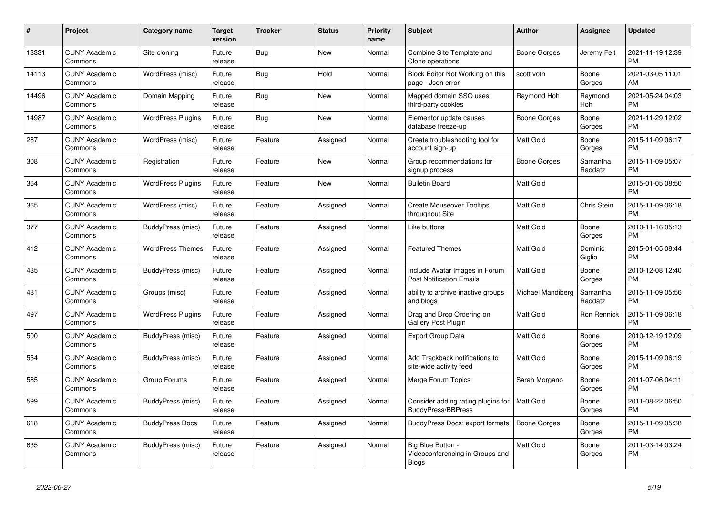| #     | <b>Project</b>                  | Category name            | <b>Target</b><br>version | <b>Tracker</b> | <b>Status</b> | <b>Priority</b><br>name | <b>Subject</b>                                                    | Author              | Assignee            | <b>Updated</b>                |
|-------|---------------------------------|--------------------------|--------------------------|----------------|---------------|-------------------------|-------------------------------------------------------------------|---------------------|---------------------|-------------------------------|
| 13331 | <b>CUNY Academic</b><br>Commons | Site cloning             | Future<br>release        | Bug            | <b>New</b>    | Normal                  | Combine Site Template and<br>Clone operations                     | Boone Gorges        | Jeremy Felt         | 2021-11-19 12:39<br><b>PM</b> |
| 14113 | <b>CUNY Academic</b><br>Commons | WordPress (misc)         | Future<br>release        | Bug            | Hold          | Normal                  | Block Editor Not Working on this<br>page - Json error             | scott voth          | Boone<br>Gorges     | 2021-03-05 11:01<br>AM        |
| 14496 | <b>CUNY Academic</b><br>Commons | Domain Mapping           | Future<br>release        | Bug            | <b>New</b>    | Normal                  | Mapped domain SSO uses<br>third-party cookies                     | Raymond Hoh         | Raymond<br>Hoh      | 2021-05-24 04:03<br><b>PM</b> |
| 14987 | <b>CUNY Academic</b><br>Commons | <b>WordPress Plugins</b> | Future<br>release        | Bug            | <b>New</b>    | Normal                  | Elementor update causes<br>database freeze-up                     | Boone Gorges        | Boone<br>Gorges     | 2021-11-29 12:02<br><b>PM</b> |
| 287   | <b>CUNY Academic</b><br>Commons | WordPress (misc)         | Future<br>release        | Feature        | Assigned      | Normal                  | Create troubleshooting tool for<br>account sign-up                | <b>Matt Gold</b>    | Boone<br>Gorges     | 2015-11-09 06:17<br><b>PM</b> |
| 308   | <b>CUNY Academic</b><br>Commons | Registration             | Future<br>release        | Feature        | New           | Normal                  | Group recommendations for<br>signup process                       | Boone Gorges        | Samantha<br>Raddatz | 2015-11-09 05:07<br><b>PM</b> |
| 364   | <b>CUNY Academic</b><br>Commons | <b>WordPress Plugins</b> | Future<br>release        | Feature        | <b>New</b>    | Normal                  | <b>Bulletin Board</b>                                             | <b>Matt Gold</b>    |                     | 2015-01-05 08:50<br><b>PM</b> |
| 365   | <b>CUNY Academic</b><br>Commons | WordPress (misc)         | Future<br>release        | Feature        | Assigned      | Normal                  | <b>Create Mouseover Tooltips</b><br>throughout Site               | <b>Matt Gold</b>    | Chris Stein         | 2015-11-09 06:18<br><b>PM</b> |
| 377   | <b>CUNY Academic</b><br>Commons | BuddyPress (misc)        | Future<br>release        | Feature        | Assigned      | Normal                  | Like buttons                                                      | Matt Gold           | Boone<br>Gorges     | 2010-11-16 05:13<br><b>PM</b> |
| 412   | <b>CUNY Academic</b><br>Commons | <b>WordPress Themes</b>  | Future<br>release        | Feature        | Assigned      | Normal                  | <b>Featured Themes</b>                                            | <b>Matt Gold</b>    | Dominic<br>Giglio   | 2015-01-05 08:44<br><b>PM</b> |
| 435   | <b>CUNY Academic</b><br>Commons | BuddyPress (misc)        | Future<br>release        | Feature        | Assigned      | Normal                  | Include Avatar Images in Forum<br><b>Post Notification Emails</b> | Matt Gold           | Boone<br>Gorges     | 2010-12-08 12:40<br><b>PM</b> |
| 481   | <b>CUNY Academic</b><br>Commons | Groups (misc)            | Future<br>release        | Feature        | Assigned      | Normal                  | ability to archive inactive groups<br>and blogs                   | Michael Mandiberg   | Samantha<br>Raddatz | 2015-11-09 05:56<br><b>PM</b> |
| 497   | <b>CUNY Academic</b><br>Commons | <b>WordPress Plugins</b> | Future<br>release        | Feature        | Assigned      | Normal                  | Drag and Drop Ordering on<br><b>Gallery Post Plugin</b>           | <b>Matt Gold</b>    | Ron Rennick         | 2015-11-09 06:18<br><b>PM</b> |
| 500   | <b>CUNY Academic</b><br>Commons | BuddyPress (misc)        | Future<br>release        | Feature        | Assigned      | Normal                  | <b>Export Group Data</b>                                          | <b>Matt Gold</b>    | Boone<br>Gorges     | 2010-12-19 12:09<br><b>PM</b> |
| 554   | <b>CUNY Academic</b><br>Commons | BuddyPress (misc)        | Future<br>release        | Feature        | Assigned      | Normal                  | Add Trackback notifications to<br>site-wide activity feed         | <b>Matt Gold</b>    | Boone<br>Gorges     | 2015-11-09 06:19<br><b>PM</b> |
| 585   | <b>CUNY Academic</b><br>Commons | Group Forums             | Future<br>release        | Feature        | Assigned      | Normal                  | Merge Forum Topics                                                | Sarah Morgano       | Boone<br>Gorges     | 2011-07-06 04:11<br><b>PM</b> |
| 599   | <b>CUNY Academic</b><br>Commons | BuddyPress (misc)        | Future<br>release        | Feature        | Assigned      | Normal                  | Consider adding rating plugins for<br>BuddyPress/BBPress          | <b>Matt Gold</b>    | Boone<br>Gorges     | 2011-08-22 06:50<br><b>PM</b> |
| 618   | <b>CUNY Academic</b><br>Commons | <b>BuddyPress Docs</b>   | Future<br>release        | Feature        | Assigned      | Normal                  | BuddyPress Docs: export formats                                   | <b>Boone Gorges</b> | Boone<br>Gorges     | 2015-11-09 05:38<br><b>PM</b> |
| 635   | <b>CUNY Academic</b><br>Commons | BuddyPress (misc)        | Future<br>release        | Feature        | Assigned      | Normal                  | Big Blue Button -<br>Videoconferencing in Groups and<br>Blogs     | <b>Matt Gold</b>    | Boone<br>Gorges     | 2011-03-14 03:24<br><b>PM</b> |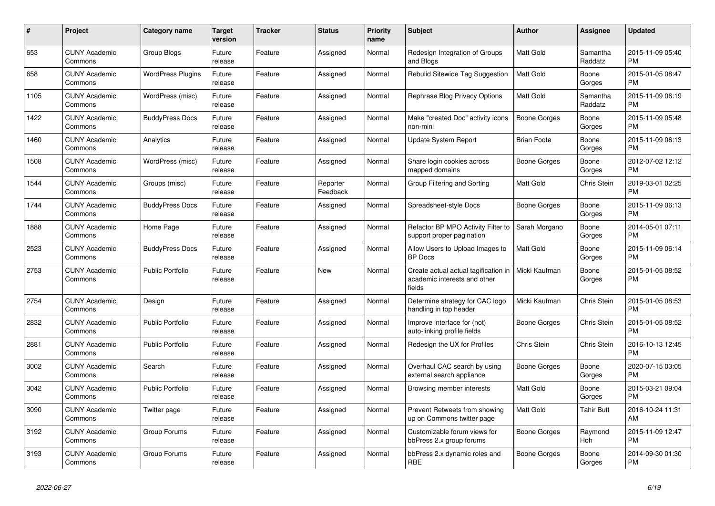| $\#$ | Project                         | <b>Category name</b>    | <b>Target</b><br>version | <b>Tracker</b> | <b>Status</b>        | <b>Priority</b><br>name | <b>Subject</b>                                                                 | <b>Author</b>       | <b>Assignee</b>     | <b>Updated</b>                |
|------|---------------------------------|-------------------------|--------------------------|----------------|----------------------|-------------------------|--------------------------------------------------------------------------------|---------------------|---------------------|-------------------------------|
| 653  | <b>CUNY Academic</b><br>Commons | Group Blogs             | Future<br>release        | Feature        | Assigned             | Normal                  | Redesign Integration of Groups<br>and Blogs                                    | <b>Matt Gold</b>    | Samantha<br>Raddatz | 2015-11-09 05:40<br><b>PM</b> |
| 658  | <b>CUNY Academic</b><br>Commons | WordPress Plugins       | Future<br>release        | Feature        | Assigned             | Normal                  | Rebulid Sitewide Tag Suggestion                                                | Matt Gold           | Boone<br>Gorges     | 2015-01-05 08:47<br><b>PM</b> |
| 1105 | <b>CUNY Academic</b><br>Commons | WordPress (misc)        | Future<br>release        | Feature        | Assigned             | Normal                  | Rephrase Blog Privacy Options                                                  | <b>Matt Gold</b>    | Samantha<br>Raddatz | 2015-11-09 06:19<br><b>PM</b> |
| 1422 | <b>CUNY Academic</b><br>Commons | <b>BuddyPress Docs</b>  | Future<br>release        | Feature        | Assigned             | Normal                  | Make "created Doc" activity icons<br>non-mini                                  | <b>Boone Gorges</b> | Boone<br>Gorges     | 2015-11-09 05:48<br><b>PM</b> |
| 1460 | <b>CUNY Academic</b><br>Commons | Analytics               | Future<br>release        | Feature        | Assigned             | Normal                  | Update System Report                                                           | <b>Brian Foote</b>  | Boone<br>Gorges     | 2015-11-09 06:13<br><b>PM</b> |
| 1508 | <b>CUNY Academic</b><br>Commons | WordPress (misc)        | Future<br>release        | Feature        | Assigned             | Normal                  | Share login cookies across<br>mapped domains                                   | Boone Gorges        | Boone<br>Gorges     | 2012-07-02 12:12<br><b>PM</b> |
| 1544 | <b>CUNY Academic</b><br>Commons | Groups (misc)           | Future<br>release        | Feature        | Reporter<br>Feedback | Normal                  | Group Filtering and Sorting                                                    | <b>Matt Gold</b>    | Chris Stein         | 2019-03-01 02:25<br><b>PM</b> |
| 1744 | <b>CUNY Academic</b><br>Commons | <b>BuddyPress Docs</b>  | Future<br>release        | Feature        | Assigned             | Normal                  | Spreadsheet-style Docs                                                         | Boone Gorges        | Boone<br>Gorges     | 2015-11-09 06:13<br>PM        |
| 1888 | <b>CUNY Academic</b><br>Commons | Home Page               | Future<br>release        | Feature        | Assigned             | Normal                  | Refactor BP MPO Activity Filter to<br>support proper pagination                | Sarah Morgano       | Boone<br>Gorges     | 2014-05-01 07:11<br><b>PM</b> |
| 2523 | <b>CUNY Academic</b><br>Commons | <b>BuddyPress Docs</b>  | Future<br>release        | Feature        | Assigned             | Normal                  | Allow Users to Upload Images to<br><b>BP</b> Docs                              | <b>Matt Gold</b>    | Boone<br>Gorges     | 2015-11-09 06:14<br><b>PM</b> |
| 2753 | <b>CUNY Academic</b><br>Commons | Public Portfolio        | Future<br>release        | Feature        | <b>New</b>           | Normal                  | Create actual actual tagification in<br>academic interests and other<br>fields | Micki Kaufman       | Boone<br>Gorges     | 2015-01-05 08:52<br><b>PM</b> |
| 2754 | <b>CUNY Academic</b><br>Commons | Design                  | Future<br>release        | Feature        | Assigned             | Normal                  | Determine strategy for CAC logo<br>handling in top header                      | Micki Kaufman       | Chris Stein         | 2015-01-05 08:53<br><b>PM</b> |
| 2832 | <b>CUNY Academic</b><br>Commons | <b>Public Portfolio</b> | Future<br>release        | Feature        | Assigned             | Normal                  | Improve interface for (not)<br>auto-linking profile fields                     | Boone Gorges        | Chris Stein         | 2015-01-05 08:52<br><b>PM</b> |
| 2881 | <b>CUNY Academic</b><br>Commons | <b>Public Portfolio</b> | Future<br>release        | Feature        | Assigned             | Normal                  | Redesign the UX for Profiles                                                   | Chris Stein         | Chris Stein         | 2016-10-13 12:45<br><b>PM</b> |
| 3002 | <b>CUNY Academic</b><br>Commons | Search                  | Future<br>release        | Feature        | Assigned             | Normal                  | Overhaul CAC search by using<br>external search appliance                      | <b>Boone Gorges</b> | Boone<br>Gorges     | 2020-07-15 03:05<br><b>PM</b> |
| 3042 | <b>CUNY Academic</b><br>Commons | Public Portfolio        | Future<br>release        | Feature        | Assigned             | Normal                  | Browsing member interests                                                      | Matt Gold           | Boone<br>Gorges     | 2015-03-21 09:04<br><b>PM</b> |
| 3090 | <b>CUNY Academic</b><br>Commons | Twitter page            | Future<br>release        | Feature        | Assigned             | Normal                  | Prevent Retweets from showing<br>up on Commons twitter page                    | <b>Matt Gold</b>    | <b>Tahir Butt</b>   | 2016-10-24 11:31<br>AM        |
| 3192 | <b>CUNY Academic</b><br>Commons | Group Forums            | Future<br>release        | Feature        | Assigned             | Normal                  | Customizable forum views for<br>bbPress 2.x group forums                       | Boone Gorges        | Raymond<br>Hoh      | 2015-11-09 12:47<br><b>PM</b> |
| 3193 | <b>CUNY Academic</b><br>Commons | Group Forums            | Future<br>release        | Feature        | Assigned             | Normal                  | bbPress 2.x dynamic roles and<br>RBE                                           | Boone Gorges        | Boone<br>Gorges     | 2014-09-30 01:30<br><b>PM</b> |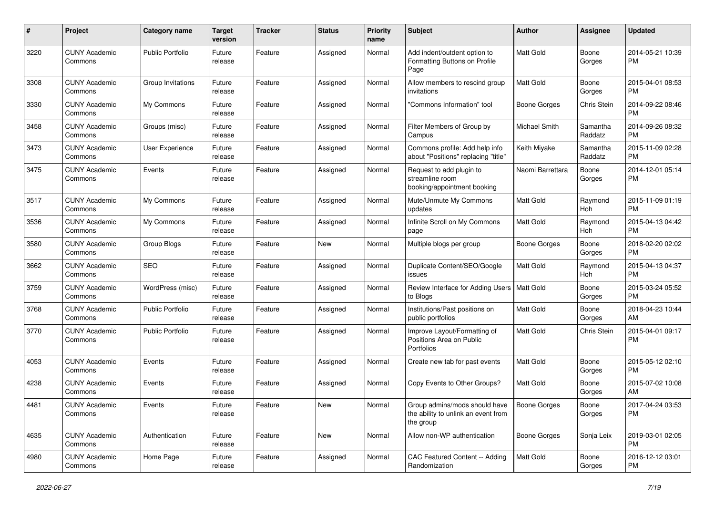| #    | Project                         | <b>Category name</b>    | <b>Target</b><br>version | <b>Tracker</b> | <b>Status</b> | <b>Priority</b><br>name | Subject                                                                           | Author              | Assignee              | <b>Updated</b>                |
|------|---------------------------------|-------------------------|--------------------------|----------------|---------------|-------------------------|-----------------------------------------------------------------------------------|---------------------|-----------------------|-------------------------------|
| 3220 | <b>CUNY Academic</b><br>Commons | <b>Public Portfolio</b> | Future<br>release        | Feature        | Assigned      | Normal                  | Add indent/outdent option to<br>Formatting Buttons on Profile<br>Page             | Matt Gold           | Boone<br>Gorges       | 2014-05-21 10:39<br>РM        |
| 3308 | <b>CUNY Academic</b><br>Commons | Group Invitations       | Future<br>release        | Feature        | Assigned      | Normal                  | Allow members to rescind group<br>invitations                                     | Matt Gold           | Boone<br>Gorges       | 2015-04-01 08:53<br>PM        |
| 3330 | <b>CUNY Academic</b><br>Commons | My Commons              | Future<br>release        | Feature        | Assigned      | Normal                  | 'Commons Information" tool                                                        | <b>Boone Gorges</b> | Chris Stein           | 2014-09-22 08:46<br>PM        |
| 3458 | <b>CUNY Academic</b><br>Commons | Groups (misc)           | Future<br>release        | Feature        | Assigned      | Normal                  | Filter Members of Group by<br>Campus                                              | Michael Smith       | Samantha<br>Raddatz   | 2014-09-26 08:32<br><b>PM</b> |
| 3473 | <b>CUNY Academic</b><br>Commons | User Experience         | Future<br>release        | Feature        | Assigned      | Normal                  | Commons profile: Add help info<br>about "Positions" replacing "title"             | Keith Miyake        | Samantha<br>Raddatz   | 2015-11-09 02:28<br><b>PM</b> |
| 3475 | <b>CUNY Academic</b><br>Commons | Events                  | Future<br>release        | Feature        | Assigned      | Normal                  | Request to add plugin to<br>streamline room<br>booking/appointment booking        | Naomi Barrettara    | Boone<br>Gorges       | 2014-12-01 05:14<br><b>PM</b> |
| 3517 | <b>CUNY Academic</b><br>Commons | My Commons              | Future<br>release        | Feature        | Assigned      | Normal                  | Mute/Unmute My Commons<br>updates                                                 | Matt Gold           | Raymond<br><b>Hoh</b> | 2015-11-09 01:19<br><b>PM</b> |
| 3536 | <b>CUNY Academic</b><br>Commons | My Commons              | Future<br>release        | Feature        | Assigned      | Normal                  | Infinite Scroll on My Commons<br>page                                             | Matt Gold           | Raymond<br>Hoh        | 2015-04-13 04:42<br>РM        |
| 3580 | <b>CUNY Academic</b><br>Commons | Group Blogs             | Future<br>release        | Feature        | New           | Normal                  | Multiple blogs per group                                                          | <b>Boone Gorges</b> | Boone<br>Gorges       | 2018-02-20 02:02<br><b>PM</b> |
| 3662 | <b>CUNY Academic</b><br>Commons | <b>SEO</b>              | Future<br>release        | Feature        | Assigned      | Normal                  | Duplicate Content/SEO/Google<br>issues                                            | Matt Gold           | Raymond<br>Hoh        | 2015-04-13 04:37<br><b>PM</b> |
| 3759 | <b>CUNY Academic</b><br>Commons | WordPress (misc)        | Future<br>release        | Feature        | Assigned      | Normal                  | Review Interface for Adding Users   Matt Gold<br>to Blogs                         |                     | Boone<br>Gorges       | 2015-03-24 05:52<br><b>PM</b> |
| 3768 | <b>CUNY Academic</b><br>Commons | <b>Public Portfolio</b> | Future<br>release        | Feature        | Assigned      | Normal                  | Institutions/Past positions on<br>public portfolios                               | Matt Gold           | Boone<br>Gorges       | 2018-04-23 10:44<br>AM        |
| 3770 | <b>CUNY Academic</b><br>Commons | <b>Public Portfolio</b> | Future<br>release        | Feature        | Assigned      | Normal                  | Improve Layout/Formatting of<br>Positions Area on Public<br>Portfolios            | Matt Gold           | Chris Stein           | 2015-04-01 09:17<br><b>PM</b> |
| 4053 | <b>CUNY Academic</b><br>Commons | Events                  | Future<br>release        | Feature        | Assigned      | Normal                  | Create new tab for past events                                                    | Matt Gold           | Boone<br>Gorges       | 2015-05-12 02:10<br><b>PM</b> |
| 4238 | <b>CUNY Academic</b><br>Commons | Events                  | Future<br>release        | Feature        | Assigned      | Normal                  | Copy Events to Other Groups?                                                      | Matt Gold           | Boone<br>Gorges       | 2015-07-02 10:08<br>AM        |
| 4481 | <b>CUNY Academic</b><br>Commons | Events                  | Future<br>release        | Feature        | New           | Normal                  | Group admins/mods should have<br>the ability to unlink an event from<br>the group | Boone Gorges        | Boone<br>Gorges       | 2017-04-24 03:53<br><b>PM</b> |
| 4635 | <b>CUNY Academic</b><br>Commons | Authentication          | Future<br>release        | Feature        | New           | Normal                  | Allow non-WP authentication                                                       | Boone Gorges        | Sonja Leix            | 2019-03-01 02:05<br><b>PM</b> |
| 4980 | <b>CUNY Academic</b><br>Commons | Home Page               | Future<br>release        | Feature        | Assigned      | Normal                  | CAC Featured Content -- Adding<br>Randomization                                   | Matt Gold           | Boone<br>Gorges       | 2016-12-12 03:01<br><b>PM</b> |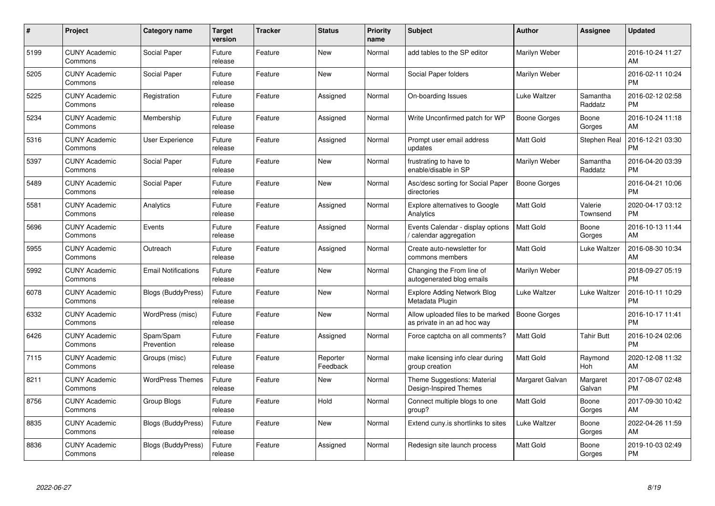| $\pmb{\#}$ | Project                         | <b>Category name</b>       | <b>Target</b><br>version | <b>Tracker</b> | <b>Status</b>        | <b>Priority</b><br>name | <b>Subject</b>                                                   | Author              | <b>Assignee</b>     | <b>Updated</b>                |
|------------|---------------------------------|----------------------------|--------------------------|----------------|----------------------|-------------------------|------------------------------------------------------------------|---------------------|---------------------|-------------------------------|
| 5199       | <b>CUNY Academic</b><br>Commons | Social Paper               | Future<br>release        | Feature        | <b>New</b>           | Normal                  | add tables to the SP editor                                      | Marilyn Weber       |                     | 2016-10-24 11:27<br>AM        |
| 5205       | <b>CUNY Academic</b><br>Commons | Social Paper               | Future<br>release        | Feature        | <b>New</b>           | Normal                  | Social Paper folders                                             | Marilyn Weber       |                     | 2016-02-11 10:24<br><b>PM</b> |
| 5225       | <b>CUNY Academic</b><br>Commons | Registration               | Future<br>release        | Feature        | Assigned             | Normal                  | On-boarding Issues                                               | Luke Waltzer        | Samantha<br>Raddatz | 2016-02-12 02:58<br><b>PM</b> |
| 5234       | <b>CUNY Academic</b><br>Commons | Membership                 | Future<br>release        | Feature        | Assigned             | Normal                  | Write Unconfirmed patch for WP                                   | <b>Boone Gorges</b> | Boone<br>Gorges     | 2016-10-24 11:18<br>AM        |
| 5316       | <b>CUNY Academic</b><br>Commons | <b>User Experience</b>     | Future<br>release        | Feature        | Assigned             | Normal                  | Prompt user email address<br>updates                             | <b>Matt Gold</b>    | Stephen Real        | 2016-12-21 03:30<br><b>PM</b> |
| 5397       | <b>CUNY Academic</b><br>Commons | Social Paper               | Future<br>release        | Feature        | New                  | Normal                  | frustrating to have to<br>enable/disable in SP                   | Marilyn Weber       | Samantha<br>Raddatz | 2016-04-20 03:39<br><b>PM</b> |
| 5489       | <b>CUNY Academic</b><br>Commons | Social Paper               | Future<br>release        | Feature        | <b>New</b>           | Normal                  | Asc/desc sorting for Social Paper<br>directories                 | <b>Boone Gorges</b> |                     | 2016-04-21 10:06<br><b>PM</b> |
| 5581       | <b>CUNY Academic</b><br>Commons | Analytics                  | Future<br>release        | Feature        | Assigned             | Normal                  | <b>Explore alternatives to Google</b><br>Analytics               | <b>Matt Gold</b>    | Valerie<br>Townsend | 2020-04-17 03:12<br><b>PM</b> |
| 5696       | <b>CUNY Academic</b><br>Commons | Events                     | Future<br>release        | Feature        | Assigned             | Normal                  | Events Calendar - display options<br>calendar aggregation        | <b>Matt Gold</b>    | Boone<br>Gorges     | 2016-10-13 11:44<br>AM        |
| 5955       | <b>CUNY Academic</b><br>Commons | Outreach                   | Future<br>release        | Feature        | Assigned             | Normal                  | Create auto-newsletter for<br>commons members                    | Matt Gold           | Luke Waltzer        | 2016-08-30 10:34<br>AM        |
| 5992       | <b>CUNY Academic</b><br>Commons | <b>Email Notifications</b> | Future<br>release        | Feature        | <b>New</b>           | Normal                  | Changing the From line of<br>autogenerated blog emails           | Marilyn Weber       |                     | 2018-09-27 05:19<br><b>PM</b> |
| 6078       | <b>CUNY Academic</b><br>Commons | Blogs (BuddyPress)         | Future<br>release        | Feature        | <b>New</b>           | Normal                  | <b>Explore Adding Network Blog</b><br>Metadata Plugin            | Luke Waltzer        | Luke Waltzer        | 2016-10-11 10:29<br><b>PM</b> |
| 6332       | <b>CUNY Academic</b><br>Commons | WordPress (misc)           | Future<br>release        | Feature        | <b>New</b>           | Normal                  | Allow uploaded files to be marked<br>as private in an ad hoc way | <b>Boone Gorges</b> |                     | 2016-10-17 11:41<br><b>PM</b> |
| 6426       | <b>CUNY Academic</b><br>Commons | Spam/Spam<br>Prevention    | Future<br>release        | Feature        | Assigned             | Normal                  | Force captcha on all comments?                                   | <b>Matt Gold</b>    | <b>Tahir Butt</b>   | 2016-10-24 02:06<br><b>PM</b> |
| 7115       | <b>CUNY Academic</b><br>Commons | Groups (misc)              | Future<br>release        | Feature        | Reporter<br>Feedback | Normal                  | make licensing info clear during<br>group creation               | Matt Gold           | Raymond<br>Hoh      | 2020-12-08 11:32<br>AM        |
| 8211       | <b>CUNY Academic</b><br>Commons | <b>WordPress Themes</b>    | Future<br>release        | Feature        | <b>New</b>           | Normal                  | Theme Suggestions: Material<br>Design-Inspired Themes            | Margaret Galvan     | Margaret<br>Galvan  | 2017-08-07 02:48<br><b>PM</b> |
| 8756       | <b>CUNY Academic</b><br>Commons | Group Blogs                | Future<br>release        | Feature        | Hold                 | Normal                  | Connect multiple blogs to one<br>group?                          | <b>Matt Gold</b>    | Boone<br>Gorges     | 2017-09-30 10:42<br>AM        |
| 8835       | <b>CUNY Academic</b><br>Commons | Blogs (BuddyPress)         | Future<br>release        | Feature        | <b>New</b>           | Normal                  | Extend cuny is shortlinks to sites                               | Luke Waltzer        | Boone<br>Gorges     | 2022-04-26 11:59<br>AM        |
| 8836       | CUNY Academic<br>Commons        | Blogs (BuddyPress)         | Future<br>release        | Feature        | Assigned             | Normal                  | Redesign site launch process                                     | <b>Matt Gold</b>    | Boone<br>Gorges     | 2019-10-03 02:49<br>PM        |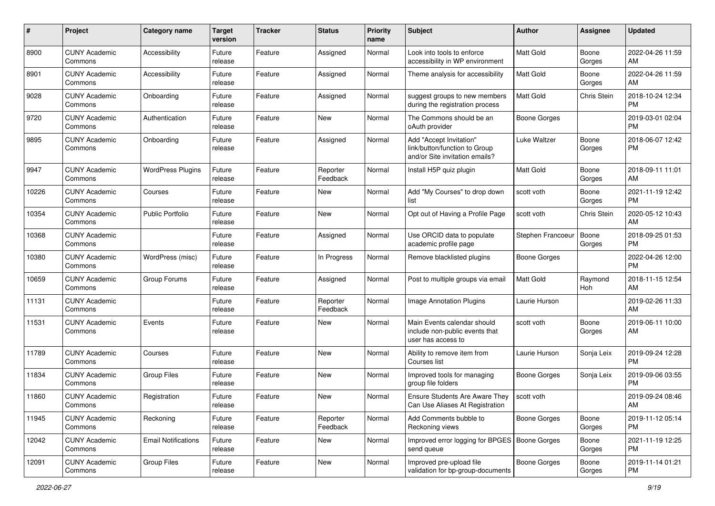| #     | Project                         | <b>Category name</b>       | <b>Target</b><br>version | <b>Tracker</b> | <b>Status</b>        | <b>Priority</b><br>name | <b>Subject</b>                                                                             | Author              | Assignee        | <b>Updated</b>                |
|-------|---------------------------------|----------------------------|--------------------------|----------------|----------------------|-------------------------|--------------------------------------------------------------------------------------------|---------------------|-----------------|-------------------------------|
| 8900  | <b>CUNY Academic</b><br>Commons | Accessibility              | Future<br>release        | Feature        | Assigned             | Normal                  | Look into tools to enforce<br>accessibility in WP environment                              | <b>Matt Gold</b>    | Boone<br>Gorges | 2022-04-26 11:59<br>AM        |
| 8901  | <b>CUNY Academic</b><br>Commons | Accessibility              | Future<br>release        | Feature        | Assigned             | Normal                  | Theme analysis for accessibility                                                           | <b>Matt Gold</b>    | Boone<br>Gorges | 2022-04-26 11:59<br>AM        |
| 9028  | <b>CUNY Academic</b><br>Commons | Onboarding                 | Future<br>release        | Feature        | Assigned             | Normal                  | suggest groups to new members<br>during the registration process                           | Matt Gold           | Chris Stein     | 2018-10-24 12:34<br><b>PM</b> |
| 9720  | <b>CUNY Academic</b><br>Commons | Authentication             | Future<br>release        | Feature        | New                  | Normal                  | The Commons should be an<br>oAuth provider                                                 | <b>Boone Gorges</b> |                 | 2019-03-01 02:04<br><b>PM</b> |
| 9895  | <b>CUNY Academic</b><br>Commons | Onboarding                 | Future<br>release        | Feature        | Assigned             | Normal                  | Add "Accept Invitation"<br>link/button/function to Group<br>and/or Site invitation emails? | Luke Waltzer        | Boone<br>Gorges | 2018-06-07 12:42<br><b>PM</b> |
| 9947  | <b>CUNY Academic</b><br>Commons | <b>WordPress Plugins</b>   | Future<br>release        | Feature        | Reporter<br>Feedback | Normal                  | Install H5P quiz plugin                                                                    | <b>Matt Gold</b>    | Boone<br>Gorges | 2018-09-11 11:01<br>AM        |
| 10226 | <b>CUNY Academic</b><br>Commons | Courses                    | Future<br>release        | Feature        | New                  | Normal                  | Add "My Courses" to drop down<br>list                                                      | scott voth          | Boone<br>Gorges | 2021-11-19 12:42<br><b>PM</b> |
| 10354 | <b>CUNY Academic</b><br>Commons | <b>Public Portfolio</b>    | Future<br>release        | Feature        | New                  | Normal                  | Opt out of Having a Profile Page                                                           | scott voth          | Chris Stein     | 2020-05-12 10:43<br>AM        |
| 10368 | <b>CUNY Academic</b><br>Commons |                            | Future<br>release        | Feature        | Assigned             | Normal                  | Use ORCID data to populate<br>academic profile page                                        | Stephen Francoeur   | Boone<br>Gorges | 2018-09-25 01:53<br>РM        |
| 10380 | <b>CUNY Academic</b><br>Commons | WordPress (misc)           | Future<br>release        | Feature        | In Progress          | Normal                  | Remove blacklisted plugins                                                                 | <b>Boone Gorges</b> |                 | 2022-04-26 12:00<br><b>PM</b> |
| 10659 | <b>CUNY Academic</b><br>Commons | Group Forums               | Future<br>release        | Feature        | Assigned             | Normal                  | Post to multiple groups via email                                                          | <b>Matt Gold</b>    | Raymond<br>Hoh  | 2018-11-15 12:54<br>AM        |
| 11131 | <b>CUNY Academic</b><br>Commons |                            | Future<br>release        | Feature        | Reporter<br>Feedback | Normal                  | Image Annotation Plugins                                                                   | Laurie Hurson       |                 | 2019-02-26 11:33<br>AM        |
| 11531 | <b>CUNY Academic</b><br>Commons | Events                     | Future<br>release        | Feature        | New                  | Normal                  | Main Events calendar should<br>include non-public events that<br>user has access to        | scott voth          | Boone<br>Gorges | 2019-06-11 10:00<br>AM        |
| 11789 | <b>CUNY Academic</b><br>Commons | Courses                    | Future<br>release        | Feature        | <b>New</b>           | Normal                  | Ability to remove item from<br>Courses list                                                | Laurie Hurson       | Sonja Leix      | 2019-09-24 12:28<br><b>PM</b> |
| 11834 | <b>CUNY Academic</b><br>Commons | <b>Group Files</b>         | Future<br>release        | Feature        | <b>New</b>           | Normal                  | Improved tools for managing<br>group file folders                                          | Boone Gorges        | Sonja Leix      | 2019-09-06 03:55<br><b>PM</b> |
| 11860 | <b>CUNY Academic</b><br>Commons | Registration               | Future<br>release        | Feature        | <b>New</b>           | Normal                  | Ensure Students Are Aware They<br>Can Use Aliases At Registration                          | scott voth          |                 | 2019-09-24 08:46<br>AM        |
| 11945 | <b>CUNY Academic</b><br>Commons | Reckoning                  | Future<br>release        | Feature        | Reporter<br>Feedback | Normal                  | Add Comments bubble to<br>Reckoning views                                                  | <b>Boone Gorges</b> | Boone<br>Gorges | 2019-11-12 05:14<br><b>PM</b> |
| 12042 | <b>CUNY Academic</b><br>Commons | <b>Email Notifications</b> | Future<br>release        | Feature        | New                  | Normal                  | Improved error logging for BPGES   Boone Gorges<br>send queue                              |                     | Boone<br>Gorges | 2021-11-19 12:25<br><b>PM</b> |
| 12091 | <b>CUNY Academic</b><br>Commons | Group Files                | Future<br>release        | Feature        | New                  | Normal                  | Improved pre-upload file<br>validation for bp-group-documents                              | <b>Boone Gorges</b> | Boone<br>Gorges | 2019-11-14 01:21<br>PM        |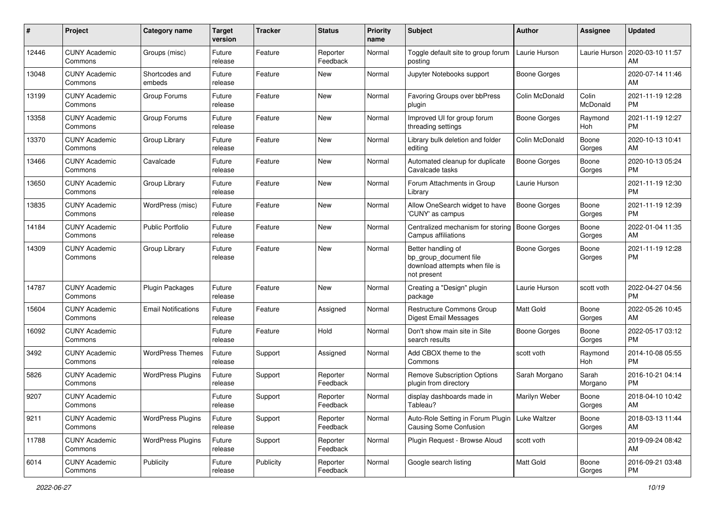| #     | Project                         | <b>Category name</b>       | <b>Target</b><br>version | <b>Tracker</b> | <b>Status</b>        | <b>Priority</b><br>name | Subject                                                                                       | Author              | <b>Assignee</b>   | <b>Updated</b>                |
|-------|---------------------------------|----------------------------|--------------------------|----------------|----------------------|-------------------------|-----------------------------------------------------------------------------------------------|---------------------|-------------------|-------------------------------|
| 12446 | <b>CUNY Academic</b><br>Commons | Groups (misc)              | Future<br>release        | Feature        | Reporter<br>Feedback | Normal                  | Toggle default site to group forum<br>posting                                                 | Laurie Hurson       | Laurie Hurson     | 2020-03-10 11:57<br>AM        |
| 13048 | <b>CUNY Academic</b><br>Commons | Shortcodes and<br>embeds   | Future<br>release        | Feature        | New                  | Normal                  | Jupyter Notebooks support                                                                     | <b>Boone Gorges</b> |                   | 2020-07-14 11:46<br>AM        |
| 13199 | <b>CUNY Academic</b><br>Commons | Group Forums               | Future<br>release        | Feature        | New                  | Normal                  | Favoring Groups over bbPress<br>plugin                                                        | Colin McDonald      | Colin<br>McDonald | 2021-11-19 12:28<br><b>PM</b> |
| 13358 | <b>CUNY Academic</b><br>Commons | Group Forums               | Future<br>release        | Feature        | New                  | Normal                  | Improved UI for group forum<br>threading settings                                             | Boone Gorges        | Raymond<br>Hoh    | 2021-11-19 12:27<br><b>PM</b> |
| 13370 | <b>CUNY Academic</b><br>Commons | Group Library              | Future<br>release        | Feature        | New                  | Normal                  | Library bulk deletion and folder<br>editing                                                   | Colin McDonald      | Boone<br>Gorges   | 2020-10-13 10:41<br>AM        |
| 13466 | <b>CUNY Academic</b><br>Commons | Cavalcade                  | Future<br>release        | Feature        | New                  | Normal                  | Automated cleanup for duplicate<br>Cavalcade tasks                                            | <b>Boone Gorges</b> | Boone<br>Gorges   | 2020-10-13 05:24<br>PM        |
| 13650 | <b>CUNY Academic</b><br>Commons | Group Library              | Future<br>release        | Feature        | <b>New</b>           | Normal                  | Forum Attachments in Group<br>Library                                                         | Laurie Hurson       |                   | 2021-11-19 12:30<br><b>PM</b> |
| 13835 | <b>CUNY Academic</b><br>Commons | WordPress (misc)           | Future<br>release        | Feature        | New                  | Normal                  | Allow OneSearch widget to have<br>'CUNY' as campus                                            | <b>Boone Gorges</b> | Boone<br>Gorges   | 2021-11-19 12:39<br>PM.       |
| 14184 | <b>CUNY Academic</b><br>Commons | <b>Public Portfolio</b>    | Future<br>release        | Feature        | New                  | Normal                  | Centralized mechanism for storing<br>Campus affiliations                                      | Boone Gorges        | Boone<br>Gorges   | 2022-01-04 11:35<br>AM        |
| 14309 | <b>CUNY Academic</b><br>Commons | Group Library              | Future<br>release        | Feature        | New                  | Normal                  | Better handling of<br>bp_group_document file<br>download attempts when file is<br>not present | <b>Boone Gorges</b> | Boone<br>Gorges   | 2021-11-19 12:28<br><b>PM</b> |
| 14787 | <b>CUNY Academic</b><br>Commons | Plugin Packages            | Future<br>release        | Feature        | <b>New</b>           | Normal                  | Creating a "Design" plugin<br>package                                                         | Laurie Hurson       | scott voth        | 2022-04-27 04:56<br><b>PM</b> |
| 15604 | <b>CUNY Academic</b><br>Commons | <b>Email Notifications</b> | Future<br>release        | Feature        | Assigned             | Normal                  | Restructure Commons Group<br><b>Digest Email Messages</b>                                     | Matt Gold           | Boone<br>Gorges   | 2022-05-26 10:45<br>AM        |
| 16092 | <b>CUNY Academic</b><br>Commons |                            | Future<br>release        | Feature        | Hold                 | Normal                  | Don't show main site in Site<br>search results                                                | Boone Gorges        | Boone<br>Gorges   | 2022-05-17 03:12<br>PM        |
| 3492  | <b>CUNY Academic</b><br>Commons | <b>WordPress Themes</b>    | Future<br>release        | Support        | Assigned             | Normal                  | Add CBOX theme to the<br>Commons                                                              | scott voth          | Raymond<br>Hoh    | 2014-10-08 05:55<br><b>PM</b> |
| 5826  | <b>CUNY Academic</b><br>Commons | <b>WordPress Plugins</b>   | Future<br>release        | Support        | Reporter<br>Feedback | Normal                  | <b>Remove Subscription Options</b><br>plugin from directory                                   | Sarah Morgano       | Sarah<br>Morgano  | 2016-10-21 04:14<br><b>PM</b> |
| 9207  | <b>CUNY Academic</b><br>Commons |                            | Future<br>release        | Support        | Reporter<br>Feedback | Normal                  | display dashboards made in<br>Tableau?                                                        | Marilyn Weber       | Boone<br>Gorges   | 2018-04-10 10:42<br>AM        |
| 9211  | <b>CUNY Academic</b><br>Commons | <b>WordPress Plugins</b>   | Future<br>release        | Support        | Reporter<br>Feedback | Normal                  | Auto-Role Setting in Forum Plugin   Luke Waltzer<br><b>Causing Some Confusion</b>             |                     | Boone<br>Gorges   | 2018-03-13 11:44<br>AM        |
| 11788 | <b>CUNY Academic</b><br>Commons | <b>WordPress Plugins</b>   | Future<br>release        | Support        | Reporter<br>Feedback | Normal                  | Plugin Request - Browse Aloud                                                                 | scott voth          |                   | 2019-09-24 08:42<br>AM        |
| 6014  | <b>CUNY Academic</b><br>Commons | Publicity                  | Future<br>release        | Publicity      | Reporter<br>Feedback | Normal                  | Google search listing                                                                         | Matt Gold           | Boone<br>Gorges   | 2016-09-21 03:48<br>PM        |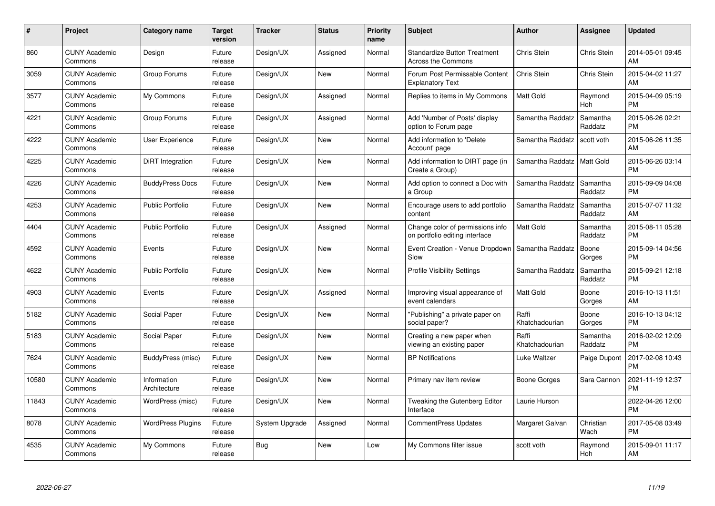| #     | <b>Project</b>                  | Category name               | <b>Target</b><br>version | <b>Tracker</b> | <b>Status</b> | <b>Priority</b><br>name | <b>Subject</b>                                                     | Author                  | Assignee            | <b>Updated</b>                |
|-------|---------------------------------|-----------------------------|--------------------------|----------------|---------------|-------------------------|--------------------------------------------------------------------|-------------------------|---------------------|-------------------------------|
| 860   | <b>CUNY Academic</b><br>Commons | Design                      | Future<br>release        | Design/UX      | Assigned      | Normal                  | <b>Standardize Button Treatment</b><br><b>Across the Commons</b>   | Chris Stein             | Chris Stein         | 2014-05-01 09:45<br>AM        |
| 3059  | <b>CUNY Academic</b><br>Commons | Group Forums                | Future<br>release        | Design/UX      | <b>New</b>    | Normal                  | Forum Post Permissable Content<br><b>Explanatory Text</b>          | Chris Stein             | Chris Stein         | 2015-04-02 11:27<br>AM        |
| 3577  | <b>CUNY Academic</b><br>Commons | My Commons                  | Future<br>release        | Design/UX      | Assigned      | Normal                  | Replies to items in My Commons                                     | <b>Matt Gold</b>        | Raymond<br>Hoh      | 2015-04-09 05:19<br><b>PM</b> |
| 4221  | <b>CUNY Academic</b><br>Commons | Group Forums                | Future<br>release        | Design/UX      | Assigned      | Normal                  | Add 'Number of Posts' display<br>option to Forum page              | Samantha Raddatz        | Samantha<br>Raddatz | 2015-06-26 02:21<br><b>PM</b> |
| 4222  | <b>CUNY Academic</b><br>Commons | <b>User Experience</b>      | Future<br>release        | Design/UX      | <b>New</b>    | Normal                  | Add information to 'Delete<br>Account' page                        | Samantha Raddatz        | scott voth          | 2015-06-26 11:35<br>AM        |
| 4225  | <b>CUNY Academic</b><br>Commons | <b>DiRT</b> Integration     | Future<br>release        | Design/UX      | <b>New</b>    | Normal                  | Add information to DIRT page (in<br>Create a Group)                | Samantha Raddatz        | <b>Matt Gold</b>    | 2015-06-26 03:14<br><b>PM</b> |
| 4226  | <b>CUNY Academic</b><br>Commons | <b>BuddyPress Docs</b>      | Future<br>release        | Design/UX      | <b>New</b>    | Normal                  | Add option to connect a Doc with<br>a Group                        | Samantha Raddatz        | Samantha<br>Raddatz | 2015-09-09 04:08<br><b>PM</b> |
| 4253  | <b>CUNY Academic</b><br>Commons | <b>Public Portfolio</b>     | Future<br>release        | Design/UX      | <b>New</b>    | Normal                  | Encourage users to add portfolio<br>content                        | Samantha Raddatz        | Samantha<br>Raddatz | 2015-07-07 11:32<br>AM        |
| 4404  | <b>CUNY Academic</b><br>Commons | <b>Public Portfolio</b>     | Future<br>release        | Design/UX      | Assigned      | Normal                  | Change color of permissions info<br>on portfolio editing interface | Matt Gold               | Samantha<br>Raddatz | 2015-08-11 05:28<br><b>PM</b> |
| 4592  | <b>CUNY Academic</b><br>Commons | Events                      | Future<br>release        | Design/UX      | <b>New</b>    | Normal                  | Event Creation - Venue Dropdown<br>Slow                            | Samantha Raddatz        | Boone<br>Gorges     | 2015-09-14 04:56<br><b>PM</b> |
| 4622  | <b>CUNY Academic</b><br>Commons | <b>Public Portfolio</b>     | Future<br>release        | Design/UX      | <b>New</b>    | Normal                  | <b>Profile Visibility Settings</b>                                 | Samantha Raddatz        | Samantha<br>Raddatz | 2015-09-21 12:18<br><b>PM</b> |
| 4903  | <b>CUNY Academic</b><br>Commons | Events                      | Future<br>release        | Design/UX      | Assigned      | Normal                  | Improving visual appearance of<br>event calendars                  | <b>Matt Gold</b>        | Boone<br>Gorges     | 2016-10-13 11:51<br>AM        |
| 5182  | <b>CUNY Academic</b><br>Commons | Social Paper                | Future<br>release        | Design/UX      | <b>New</b>    | Normal                  | "Publishing" a private paper on<br>social paper?                   | Raffi<br>Khatchadourian | Boone<br>Gorges     | 2016-10-13 04:12<br><b>PM</b> |
| 5183  | <b>CUNY Academic</b><br>Commons | Social Paper                | Future<br>release        | Design/UX      | <b>New</b>    | Normal                  | Creating a new paper when<br>viewing an existing paper             | Raffi<br>Khatchadourian | Samantha<br>Raddatz | 2016-02-02 12:09<br><b>PM</b> |
| 7624  | <b>CUNY Academic</b><br>Commons | BuddyPress (misc)           | Future<br>release        | Design/UX      | New           | Normal                  | <b>BP Notifications</b>                                            | Luke Waltzer            | Paige Dupont        | 2017-02-08 10:43<br><b>PM</b> |
| 10580 | <b>CUNY Academic</b><br>Commons | Information<br>Architecture | Future<br>release        | Design/UX      | <b>New</b>    | Normal                  | Primary nav item review                                            | <b>Boone Gorges</b>     | Sara Cannon         | 2021-11-19 12:37<br><b>PM</b> |
| 11843 | <b>CUNY Academic</b><br>Commons | WordPress (misc)            | Future<br>release        | Design/UX      | <b>New</b>    | Normal                  | Tweaking the Gutenberg Editor<br>Interface                         | Laurie Hurson           |                     | 2022-04-26 12:00<br><b>PM</b> |
| 8078  | <b>CUNY Academic</b><br>Commons | <b>WordPress Plugins</b>    | Future<br>release        | System Upgrade | Assigned      | Normal                  | CommentPress Updates                                               | Margaret Galvan         | Christian<br>Wach   | 2017-05-08 03:49<br><b>PM</b> |
| 4535  | CUNY Academic<br>Commons        | My Commons                  | Future<br>release        | Bug            | <b>New</b>    | Low                     | My Commons filter issue                                            | scott voth              | Raymond<br>Hoh      | 2015-09-01 11:17<br>AM        |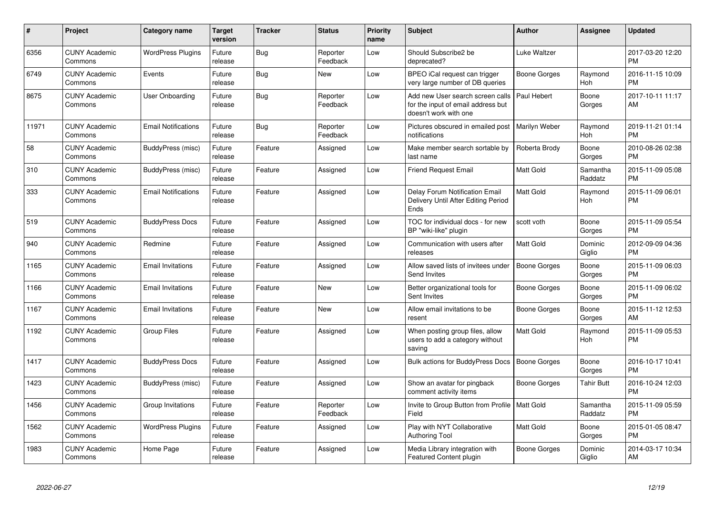| #     | <b>Project</b>                  | Category name              | <b>Target</b><br>version | <b>Tracker</b> | <b>Status</b>        | <b>Priority</b><br>name | <b>Subject</b>                                                                                  | Author              | <b>Assignee</b>     | <b>Updated</b>                |
|-------|---------------------------------|----------------------------|--------------------------|----------------|----------------------|-------------------------|-------------------------------------------------------------------------------------------------|---------------------|---------------------|-------------------------------|
| 6356  | <b>CUNY Academic</b><br>Commons | <b>WordPress Plugins</b>   | Future<br>release        | Bug            | Reporter<br>Feedback | Low                     | Should Subscribe2 be<br>deprecated?                                                             | Luke Waltzer        |                     | 2017-03-20 12:20<br><b>PM</b> |
| 6749  | <b>CUNY Academic</b><br>Commons | Events                     | Future<br>release        | Bug            | <b>New</b>           | Low                     | BPEO iCal request can trigger<br>very large number of DB queries                                | Boone Gorges        | Raymond<br>Hoh      | 2016-11-15 10:09<br><b>PM</b> |
| 8675  | <b>CUNY Academic</b><br>Commons | <b>User Onboarding</b>     | Future<br>release        | Bug            | Reporter<br>Feedback | Low                     | Add new User search screen calls<br>for the input of email address but<br>doesn't work with one | Paul Hebert         | Boone<br>Gorges     | 2017-10-11 11:17<br>AM        |
| 11971 | <b>CUNY Academic</b><br>Commons | <b>Email Notifications</b> | Future<br>release        | Bug            | Reporter<br>Feedback | Low                     | Pictures obscured in emailed post<br>notifications                                              | Marilyn Weber       | Raymond<br>Hoh      | 2019-11-21 01:14<br><b>PM</b> |
| 58    | <b>CUNY Academic</b><br>Commons | BuddyPress (misc)          | Future<br>release        | Feature        | Assigned             | Low                     | Make member search sortable by<br>last name                                                     | Roberta Brody       | Boone<br>Gorges     | 2010-08-26 02:38<br><b>PM</b> |
| 310   | <b>CUNY Academic</b><br>Commons | BuddyPress (misc)          | Future<br>release        | Feature        | Assigned             | Low                     | <b>Friend Request Email</b>                                                                     | <b>Matt Gold</b>    | Samantha<br>Raddatz | 2015-11-09 05:08<br><b>PM</b> |
| 333   | <b>CUNY Academic</b><br>Commons | <b>Email Notifications</b> | Future<br>release        | Feature        | Assigned             | Low                     | Delay Forum Notification Email<br>Delivery Until After Editing Period<br><b>Ends</b>            | <b>Matt Gold</b>    | Raymond<br>Hoh      | 2015-11-09 06:01<br><b>PM</b> |
| 519   | <b>CUNY Academic</b><br>Commons | <b>BuddyPress Docs</b>     | Future<br>release        | Feature        | Assigned             | Low                     | TOC for individual docs - for new<br>BP "wiki-like" plugin                                      | scott voth          | Boone<br>Gorges     | 2015-11-09 05:54<br><b>PM</b> |
| 940   | <b>CUNY Academic</b><br>Commons | Redmine                    | Future<br>release        | Feature        | Assigned             | Low                     | Communication with users after<br>releases                                                      | <b>Matt Gold</b>    | Dominic<br>Giglio   | 2012-09-09 04:36<br><b>PM</b> |
| 1165  | <b>CUNY Academic</b><br>Commons | <b>Email Invitations</b>   | Future<br>release        | Feature        | Assigned             | Low                     | Allow saved lists of invitees under<br>Send Invites                                             | <b>Boone Gorges</b> | Boone<br>Gorges     | 2015-11-09 06:03<br><b>PM</b> |
| 1166  | <b>CUNY Academic</b><br>Commons | <b>Email Invitations</b>   | Future<br>release        | Feature        | <b>New</b>           | Low                     | Better organizational tools for<br>Sent Invites                                                 | <b>Boone Gorges</b> | Boone<br>Gorges     | 2015-11-09 06:02<br><b>PM</b> |
| 1167  | <b>CUNY Academic</b><br>Commons | <b>Email Invitations</b>   | Future<br>release        | Feature        | <b>New</b>           | Low                     | Allow email invitations to be<br>resent                                                         | Boone Gorges        | Boone<br>Gorges     | 2015-11-12 12:53<br>AM        |
| 1192  | <b>CUNY Academic</b><br>Commons | <b>Group Files</b>         | Future<br>release        | Feature        | Assigned             | Low                     | When posting group files, allow<br>users to add a category without<br>saving                    | <b>Matt Gold</b>    | Raymond<br>Hoh      | 2015-11-09 05:53<br><b>PM</b> |
| 1417  | <b>CUNY Academic</b><br>Commons | <b>BuddyPress Docs</b>     | Future<br>release        | Feature        | Assigned             | Low                     | <b>Bulk actions for BuddyPress Docs</b>                                                         | <b>Boone Gorges</b> | Boone<br>Gorges     | 2016-10-17 10:41<br><b>PM</b> |
| 1423  | <b>CUNY Academic</b><br>Commons | BuddyPress (misc)          | Future<br>release        | Feature        | Assigned             | Low                     | Show an avatar for pingback<br>comment activity items                                           | Boone Gorges        | Tahir Butt          | 2016-10-24 12:03<br><b>PM</b> |
| 1456  | <b>CUNY Academic</b><br>Commons | Group Invitations          | Future<br>release        | Feature        | Reporter<br>Feedback | Low                     | Invite to Group Button from Profile   Matt Gold<br>Field                                        |                     | Samantha<br>Raddatz | 2015-11-09 05:59<br><b>PM</b> |
| 1562  | <b>CUNY Academic</b><br>Commons | <b>WordPress Plugins</b>   | Future<br>release        | Feature        | Assigned             | Low                     | Play with NYT Collaborative<br><b>Authoring Tool</b>                                            | Matt Gold           | Boone<br>Gorges     | 2015-01-05 08:47<br><b>PM</b> |
| 1983  | <b>CUNY Academic</b><br>Commons | Home Page                  | Future<br>release        | Feature        | Assigned             | Low                     | Media Library integration with<br><b>Featured Content plugin</b>                                | Boone Gorges        | Dominic<br>Giglio   | 2014-03-17 10:34<br>AM        |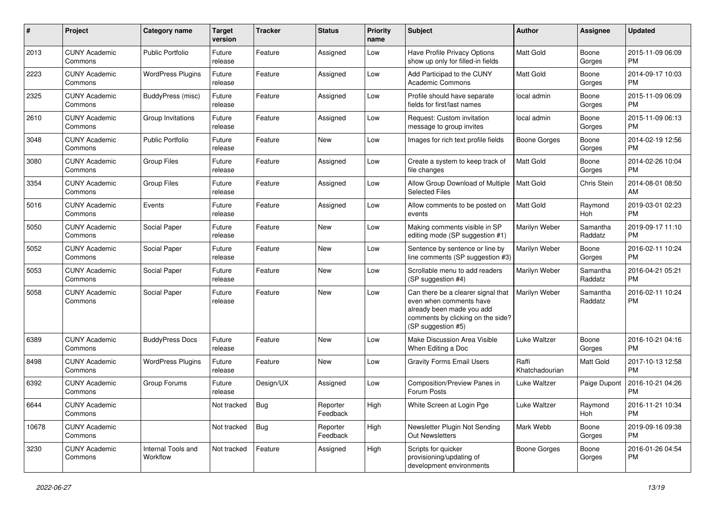| #     | Project                         | <b>Category name</b>           | <b>Target</b><br>version | <b>Tracker</b> | <b>Status</b>        | <b>Priority</b><br>name | Subject                                                                                                                                               | Author                  | <b>Assignee</b>       | <b>Updated</b>                |
|-------|---------------------------------|--------------------------------|--------------------------|----------------|----------------------|-------------------------|-------------------------------------------------------------------------------------------------------------------------------------------------------|-------------------------|-----------------------|-------------------------------|
| 2013  | <b>CUNY Academic</b><br>Commons | <b>Public Portfolio</b>        | Future<br>release        | Feature        | Assigned             | Low                     | Have Profile Privacy Options<br>show up only for filled-in fields                                                                                     | <b>Matt Gold</b>        | Boone<br>Gorges       | 2015-11-09 06:09<br><b>PM</b> |
| 2223  | <b>CUNY Academic</b><br>Commons | <b>WordPress Plugins</b>       | Future<br>release        | Feature        | Assigned             | Low                     | Add Participad to the CUNY<br><b>Academic Commons</b>                                                                                                 | Matt Gold               | Boone<br>Gorges       | 2014-09-17 10:03<br><b>PM</b> |
| 2325  | <b>CUNY Academic</b><br>Commons | BuddyPress (misc)              | Future<br>release        | Feature        | Assigned             | Low                     | Profile should have separate<br>fields for first/last names                                                                                           | local admin             | Boone<br>Gorges       | 2015-11-09 06:09<br><b>PM</b> |
| 2610  | <b>CUNY Academic</b><br>Commons | Group Invitations              | Future<br>release        | Feature        | Assigned             | Low                     | Request: Custom invitation<br>message to group invites                                                                                                | local admin             | Boone<br>Gorges       | 2015-11-09 06:13<br><b>PM</b> |
| 3048  | <b>CUNY Academic</b><br>Commons | <b>Public Portfolio</b>        | Future<br>release        | Feature        | New                  | Low                     | Images for rich text profile fields                                                                                                                   | Boone Gorges            | Boone<br>Gorges       | 2014-02-19 12:56<br><b>PM</b> |
| 3080  | <b>CUNY Academic</b><br>Commons | <b>Group Files</b>             | Future<br>release        | Feature        | Assigned             | Low                     | Create a system to keep track of<br>file changes                                                                                                      | <b>Matt Gold</b>        | Boone<br>Gorges       | 2014-02-26 10:04<br><b>PM</b> |
| 3354  | <b>CUNY Academic</b><br>Commons | <b>Group Files</b>             | Future<br>release        | Feature        | Assigned             | Low                     | Allow Group Download of Multiple   Matt Gold<br><b>Selected Files</b>                                                                                 |                         | Chris Stein           | 2014-08-01 08:50<br>AM        |
| 5016  | <b>CUNY Academic</b><br>Commons | Events                         | Future<br>release        | Feature        | Assigned             | Low                     | Allow comments to be posted on<br>events                                                                                                              | Matt Gold               | Raymond<br><b>Hoh</b> | 2019-03-01 02:23<br><b>PM</b> |
| 5050  | <b>CUNY Academic</b><br>Commons | Social Paper                   | Future<br>release        | Feature        | New                  | Low                     | Making comments visible in SP<br>editing mode (SP suggestion #1)                                                                                      | Marilyn Weber           | Samantha<br>Raddatz   | 2019-09-17 11:10<br><b>PM</b> |
| 5052  | <b>CUNY Academic</b><br>Commons | Social Paper                   | Future<br>release        | Feature        | New                  | Low                     | Sentence by sentence or line by<br>line comments (SP suggestion #3)                                                                                   | Marilyn Weber           | Boone<br>Gorges       | 2016-02-11 10:24<br><b>PM</b> |
| 5053  | <b>CUNY Academic</b><br>Commons | Social Paper                   | Future<br>release        | Feature        | <b>New</b>           | Low                     | Scrollable menu to add readers<br>(SP suggestion #4)                                                                                                  | Marilyn Weber           | Samantha<br>Raddatz   | 2016-04-21 05:21<br><b>PM</b> |
| 5058  | <b>CUNY Academic</b><br>Commons | Social Paper                   | Future<br>release        | Feature        | <b>New</b>           | Low                     | Can there be a clearer signal that<br>even when comments have<br>already been made you add<br>comments by clicking on the side?<br>(SP suggestion #5) | <b>Marilyn Weber</b>    | Samantha<br>Raddatz   | 2016-02-11 10:24<br><b>PM</b> |
| 6389  | <b>CUNY Academic</b><br>Commons | <b>BuddyPress Docs</b>         | Future<br>release        | Feature        | New                  | Low                     | Make Discussion Area Visible<br>When Editing a Doc                                                                                                    | <b>Luke Waltzer</b>     | Boone<br>Gorges       | 2016-10-21 04:16<br><b>PM</b> |
| 8498  | <b>CUNY Academic</b><br>Commons | <b>WordPress Plugins</b>       | Future<br>release        | Feature        | New                  | Low                     | <b>Gravity Forms Email Users</b>                                                                                                                      | Raffi<br>Khatchadourian | Matt Gold             | 2017-10-13 12:58<br><b>PM</b> |
| 6392  | <b>CUNY Academic</b><br>Commons | Group Forums                   | Future<br>release        | Design/UX      | Assigned             | Low                     | Composition/Preview Panes in<br>Forum Posts                                                                                                           | Luke Waltzer            | Paige Dupont          | 2016-10-21 04:26<br><b>PM</b> |
| 6644  | <b>CUNY Academic</b><br>Commons |                                | Not tracked              | $\vert$ Bug    | Reporter<br>Feedback | High                    | White Screen at Login Pge                                                                                                                             | Luke Waltzer            | Raymond<br>Hoh        | 2016-11-21 10:34<br><b>PM</b> |
| 10678 | <b>CUNY Academic</b><br>Commons |                                | Not tracked              | Bug            | Reporter<br>Feedback | High                    | Newsletter Plugin Not Sending<br>Out Newsletters                                                                                                      | Mark Webb               | Boone<br>Gorges       | 2019-09-16 09:38<br><b>PM</b> |
| 3230  | <b>CUNY Academic</b><br>Commons | Internal Tools and<br>Workflow | Not tracked              | Feature        | Assigned             | High                    | Scripts for quicker<br>provisioning/updating of<br>development environments                                                                           | Boone Gorges            | Boone<br>Gorges       | 2016-01-26 04:54<br>PM        |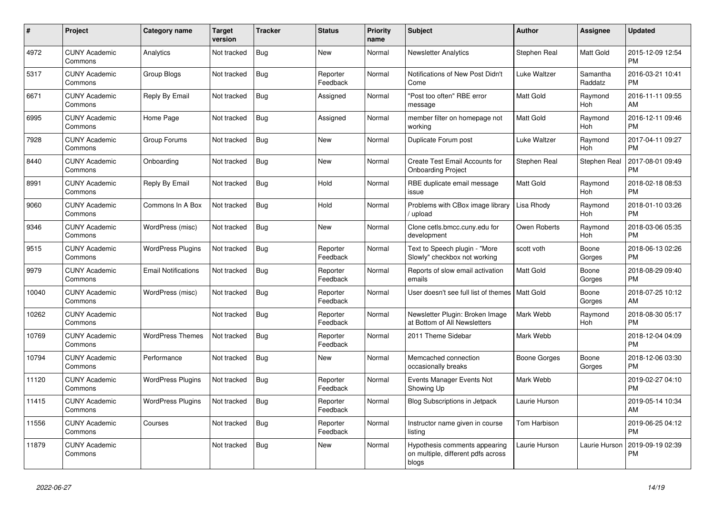| #     | Project                         | Category name              | <b>Target</b><br>version | <b>Tracker</b> | <b>Status</b>        | <b>Priority</b><br>name | <b>Subject</b>                                                               | <b>Author</b>    | <b>Assignee</b>     | <b>Updated</b>                |
|-------|---------------------------------|----------------------------|--------------------------|----------------|----------------------|-------------------------|------------------------------------------------------------------------------|------------------|---------------------|-------------------------------|
| 4972  | <b>CUNY Academic</b><br>Commons | Analytics                  | Not tracked              | Bug            | <b>New</b>           | Normal                  | <b>Newsletter Analytics</b>                                                  | Stephen Real     | <b>Matt Gold</b>    | 2015-12-09 12:54<br><b>PM</b> |
| 5317  | <b>CUNY Academic</b><br>Commons | Group Blogs                | Not tracked              | Bug            | Reporter<br>Feedback | Normal                  | Notifications of New Post Didn't<br>Come                                     | Luke Waltzer     | Samantha<br>Raddatz | 2016-03-21 10:41<br><b>PM</b> |
| 6671  | <b>CUNY Academic</b><br>Commons | Reply By Email             | Not tracked              | Bug            | Assigned             | Normal                  | "Post too often" RBE error<br>message                                        | <b>Matt Gold</b> | Raymond<br>Hoh      | 2016-11-11 09:55<br>AM        |
| 6995  | <b>CUNY Academic</b><br>Commons | Home Page                  | Not tracked              | Bug            | Assigned             | Normal                  | member filter on homepage not<br>working                                     | <b>Matt Gold</b> | Raymond<br>Hoh      | 2016-12-11 09:46<br><b>PM</b> |
| 7928  | <b>CUNY Academic</b><br>Commons | Group Forums               | Not tracked              | Bug            | New                  | Normal                  | Duplicate Forum post                                                         | Luke Waltzer     | Raymond<br>Hoh      | 2017-04-11 09:27<br><b>PM</b> |
| 8440  | <b>CUNY Academic</b><br>Commons | Onboarding                 | Not tracked              | Bug            | <b>New</b>           | Normal                  | Create Test Email Accounts for<br><b>Onboarding Project</b>                  | Stephen Real     | Stephen Real        | 2017-08-01 09:49<br><b>PM</b> |
| 8991  | <b>CUNY Academic</b><br>Commons | Reply By Email             | Not tracked              | Bug            | Hold                 | Normal                  | RBE duplicate email message<br>issue                                         | <b>Matt Gold</b> | Raymond<br>Hoh      | 2018-02-18 08:53<br><b>PM</b> |
| 9060  | <b>CUNY Academic</b><br>Commons | Commons In A Box           | Not tracked              | Bug            | Hold                 | Normal                  | Problems with CBox image library<br>upload                                   | Lisa Rhody       | Raymond<br>Hoh      | 2018-01-10 03:26<br><b>PM</b> |
| 9346  | <b>CUNY Academic</b><br>Commons | WordPress (misc)           | Not tracked              | <b>Bug</b>     | <b>New</b>           | Normal                  | Clone cetls.bmcc.cuny.edu for<br>development                                 | Owen Roberts     | Raymond<br>Hoh      | 2018-03-06 05:35<br><b>PM</b> |
| 9515  | <b>CUNY Academic</b><br>Commons | WordPress Plugins          | Not tracked              | Bug            | Reporter<br>Feedback | Normal                  | Text to Speech plugin - "More<br>Slowly" checkbox not working                | scott voth       | Boone<br>Gorges     | 2018-06-13 02:26<br><b>PM</b> |
| 9979  | <b>CUNY Academic</b><br>Commons | <b>Email Notifications</b> | Not tracked              | Bug            | Reporter<br>Feedback | Normal                  | Reports of slow email activation<br>emails                                   | <b>Matt Gold</b> | Boone<br>Gorges     | 2018-08-29 09:40<br><b>PM</b> |
| 10040 | <b>CUNY Academic</b><br>Commons | WordPress (misc)           | Not tracked              | <b>Bug</b>     | Reporter<br>Feedback | Normal                  | User doesn't see full list of themes   Matt Gold                             |                  | Boone<br>Gorges     | 2018-07-25 10:12<br>AM        |
| 10262 | <b>CUNY Academic</b><br>Commons |                            | Not tracked              | Bug            | Reporter<br>Feedback | Normal                  | Newsletter Plugin: Broken Image<br>at Bottom of All Newsletters              | Mark Webb        | Raymond<br>Hoh      | 2018-08-30 05:17<br><b>PM</b> |
| 10769 | <b>CUNY Academic</b><br>Commons | <b>WordPress Themes</b>    | Not tracked              | Bug            | Reporter<br>Feedback | Normal                  | 2011 Theme Sidebar                                                           | Mark Webb        |                     | 2018-12-04 04:09<br><b>PM</b> |
| 10794 | <b>CUNY Academic</b><br>Commons | Performance                | Not tracked              | Bug            | <b>New</b>           | Normal                  | Memcached connection<br>occasionally breaks                                  | Boone Gorges     | Boone<br>Gorges     | 2018-12-06 03:30<br><b>PM</b> |
| 11120 | <b>CUNY Academic</b><br>Commons | <b>WordPress Plugins</b>   | Not tracked              | <b>Bug</b>     | Reporter<br>Feedback | Normal                  | Events Manager Events Not<br>Showing Up                                      | Mark Webb        |                     | 2019-02-27 04:10<br><b>PM</b> |
| 11415 | <b>CUNY Academic</b><br>Commons | <b>WordPress Plugins</b>   | Not tracked              | <b>Bug</b>     | Reporter<br>Feedback | Normal                  | Blog Subscriptions in Jetpack                                                | Laurie Hurson    |                     | 2019-05-14 10:34<br>AM        |
| 11556 | <b>CUNY Academic</b><br>Commons | Courses                    | Not tracked              | Bug            | Reporter<br>Feedback | Normal                  | Instructor name given in course<br>listing                                   | Tom Harbison     |                     | 2019-06-25 04:12<br><b>PM</b> |
| 11879 | <b>CUNY Academic</b><br>Commons |                            | Not tracked              | Bug            | <b>New</b>           | Normal                  | Hypothesis comments appearing<br>on multiple, different pdfs across<br>blogs | Laurie Hurson    | Laurie Hurson       | 2019-09-19 02:39<br><b>PM</b> |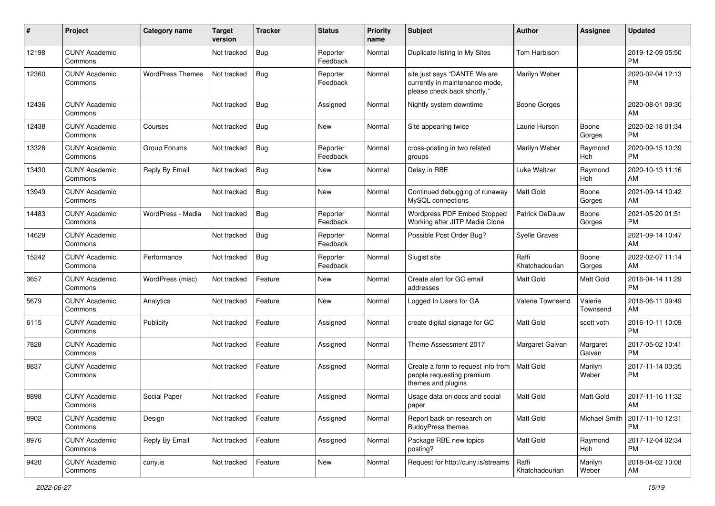| #     | Project                         | <b>Category name</b>    | <b>Target</b><br>version | <b>Tracker</b> | <b>Status</b>        | <b>Priority</b><br>name | <b>Subject</b>                                                                                | <b>Author</b>           | <b>Assignee</b>     | <b>Updated</b>                |
|-------|---------------------------------|-------------------------|--------------------------|----------------|----------------------|-------------------------|-----------------------------------------------------------------------------------------------|-------------------------|---------------------|-------------------------------|
| 12198 | <b>CUNY Academic</b><br>Commons |                         | Not tracked              | <b>Bug</b>     | Reporter<br>Feedback | Normal                  | Duplicate listing in My Sites                                                                 | Tom Harbison            |                     | 2019-12-09 05:50<br>PM        |
| 12360 | <b>CUNY Academic</b><br>Commons | <b>WordPress Themes</b> | Not tracked              | Bug            | Reporter<br>Feedback | Normal                  | site just says "DANTE We are<br>currently in maintenance mode,<br>please check back shortly." | Marilyn Weber           |                     | 2020-02-04 12:13<br>PM        |
| 12436 | <b>CUNY Academic</b><br>Commons |                         | Not tracked              | <b>Bug</b>     | Assigned             | Normal                  | Nightly system downtime                                                                       | <b>Boone Gorges</b>     |                     | 2020-08-01 09:30<br>AM        |
| 12438 | <b>CUNY Academic</b><br>Commons | Courses                 | Not tracked              | <b>Bug</b>     | New                  | Normal                  | Site appearing twice                                                                          | Laurie Hurson           | Boone<br>Gorges     | 2020-02-18 01:34<br>PM        |
| 13328 | <b>CUNY Academic</b><br>Commons | Group Forums            | Not tracked              | <b>Bug</b>     | Reporter<br>Feedback | Normal                  | cross-posting in two related<br>groups                                                        | Marilyn Weber           | Raymond<br>Hoh      | 2020-09-15 10:39<br><b>PM</b> |
| 13430 | <b>CUNY Academic</b><br>Commons | Reply By Email          | Not tracked              | Bug            | New                  | Normal                  | Delay in RBE                                                                                  | Luke Waltzer            | Raymond<br>Hoh      | 2020-10-13 11:16<br>AM        |
| 13949 | <b>CUNY Academic</b><br>Commons |                         | Not tracked              | <b>Bug</b>     | New                  | Normal                  | Continued debugging of runaway<br>MySQL connections                                           | <b>Matt Gold</b>        | Boone<br>Gorges     | 2021-09-14 10:42<br>AM        |
| 14483 | <b>CUNY Academic</b><br>Commons | WordPress - Media       | Not tracked              | <b>Bug</b>     | Reporter<br>Feedback | Normal                  | Wordpress PDF Embed Stopped<br>Working after JITP Media Clone                                 | <b>Patrick DeDauw</b>   | Boone<br>Gorges     | 2021-05-20 01:51<br><b>PM</b> |
| 14629 | <b>CUNY Academic</b><br>Commons |                         | Not tracked              | <b>Bug</b>     | Reporter<br>Feedback | Normal                  | Possible Post Order Bug?                                                                      | <b>Syelle Graves</b>    |                     | 2021-09-14 10:47<br>AM        |
| 15242 | <b>CUNY Academic</b><br>Commons | Performance             | Not tracked              | <b>Bug</b>     | Reporter<br>Feedback | Normal                  | Slugist site                                                                                  | Raffi<br>Khatchadourian | Boone<br>Gorges     | 2022-02-07 11:14<br>AM        |
| 3657  | <b>CUNY Academic</b><br>Commons | WordPress (misc)        | Not tracked              | Feature        | New                  | Normal                  | Create alert for GC email<br>addresses                                                        | <b>Matt Gold</b>        | Matt Gold           | 2016-04-14 11:29<br><b>PM</b> |
| 5679  | <b>CUNY Academic</b><br>Commons | Analytics               | Not tracked              | Feature        | <b>New</b>           | Normal                  | Logged In Users for GA                                                                        | Valerie Townsend        | Valerie<br>Townsend | 2016-06-11 09:49<br>AM        |
| 6115  | <b>CUNY Academic</b><br>Commons | Publicity               | Not tracked              | Feature        | Assigned             | Normal                  | create digital signage for GC                                                                 | <b>Matt Gold</b>        | scott voth          | 2016-10-11 10:09<br><b>PM</b> |
| 7828  | <b>CUNY Academic</b><br>Commons |                         | Not tracked              | Feature        | Assigned             | Normal                  | Theme Assessment 2017                                                                         | Margaret Galvan         | Margaret<br>Galvan  | 2017-05-02 10:41<br><b>PM</b> |
| 8837  | <b>CUNY Academic</b><br>Commons |                         | Not tracked              | Feature        | Assigned             | Normal                  | Create a form to request info from<br>people requesting premium<br>themes and plugins         | <b>Matt Gold</b>        | Marilyn<br>Weber    | 2017-11-14 03:35<br><b>PM</b> |
| 8898  | <b>CUNY Academic</b><br>Commons | Social Paper            | Not tracked              | Feature        | Assigned             | Normal                  | Usage data on docs and social<br>paper                                                        | <b>Matt Gold</b>        | Matt Gold           | 2017-11-16 11:32<br>AM        |
| 8902  | <b>CUNY Academic</b><br>Commons | Design                  | Not tracked              | Feature        | Assigned             | Normal                  | Report back on research on<br><b>BuddyPress themes</b>                                        | Matt Gold               | Michael Smith       | 2017-11-10 12:31<br><b>PM</b> |
| 8976  | <b>CUNY Academic</b><br>Commons | Reply By Email          | Not tracked              | Feature        | Assigned             | Normal                  | Package RBE new topics<br>posting?                                                            | Matt Gold               | Raymond<br>Hoh      | 2017-12-04 02:34<br><b>PM</b> |
| 9420  | <b>CUNY Academic</b><br>Commons | cuny.is                 | Not tracked              | Feature        | New                  | Normal                  | Request for http://cuny.is/streams                                                            | Raffi<br>Khatchadourian | Marilyn<br>Weber    | 2018-04-02 10:08<br>AM        |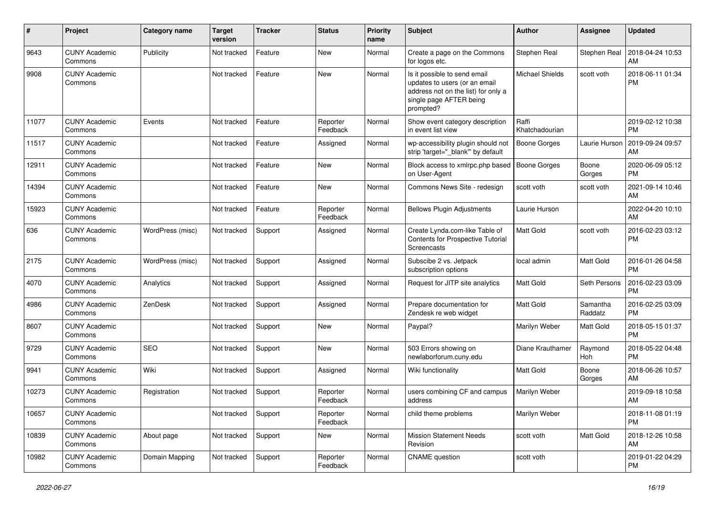| #     | Project                         | <b>Category name</b> | <b>Target</b><br>version | <b>Tracker</b> | <b>Status</b>        | <b>Priority</b><br>name | <b>Subject</b>                                                                                                                               | Author                  | Assignee            | <b>Updated</b>                |
|-------|---------------------------------|----------------------|--------------------------|----------------|----------------------|-------------------------|----------------------------------------------------------------------------------------------------------------------------------------------|-------------------------|---------------------|-------------------------------|
| 9643  | <b>CUNY Academic</b><br>Commons | Publicity            | Not tracked              | Feature        | New                  | Normal                  | Create a page on the Commons<br>for logos etc.                                                                                               | Stephen Real            | Stephen Real        | 2018-04-24 10:53<br>AM        |
| 9908  | <b>CUNY Academic</b><br>Commons |                      | Not tracked              | Feature        | New                  | Normal                  | Is it possible to send email<br>updates to users (or an email<br>address not on the list) for only a<br>single page AFTER being<br>prompted? | <b>Michael Shields</b>  | scott voth          | 2018-06-11 01:34<br><b>PM</b> |
| 11077 | <b>CUNY Academic</b><br>Commons | Events               | Not tracked              | Feature        | Reporter<br>Feedback | Normal                  | Show event category description<br>in event list view                                                                                        | Raffi<br>Khatchadourian |                     | 2019-02-12 10:38<br><b>PM</b> |
| 11517 | <b>CUNY Academic</b><br>Commons |                      | Not tracked              | Feature        | Assigned             | Normal                  | wp-accessibility plugin should not<br>strip 'target=" blank" by default                                                                      | <b>Boone Gorges</b>     | Laurie Hurson       | 2019-09-24 09:57<br>AM        |
| 12911 | <b>CUNY Academic</b><br>Commons |                      | Not tracked              | Feature        | New                  | Normal                  | Block access to xmlrpc.php based<br>on User-Agent                                                                                            | <b>Boone Gorges</b>     | Boone<br>Gorges     | 2020-06-09 05:12<br><b>PM</b> |
| 14394 | <b>CUNY Academic</b><br>Commons |                      | Not tracked              | Feature        | New                  | Normal                  | Commons News Site - redesign                                                                                                                 | scott voth              | scott voth          | 2021-09-14 10:46<br>AM        |
| 15923 | <b>CUNY Academic</b><br>Commons |                      | Not tracked              | Feature        | Reporter<br>Feedback | Normal                  | <b>Bellows Plugin Adjustments</b>                                                                                                            | Laurie Hurson           |                     | 2022-04-20 10:10<br>AM        |
| 636   | <b>CUNY Academic</b><br>Commons | WordPress (misc)     | Not tracked              | Support        | Assigned             | Normal                  | Create Lynda.com-like Table of<br>Contents for Prospective Tutorial<br>Screencasts                                                           | <b>Matt Gold</b>        | scott voth          | 2016-02-23 03:12<br><b>PM</b> |
| 2175  | <b>CUNY Academic</b><br>Commons | WordPress (misc)     | Not tracked              | Support        | Assigned             | Normal                  | Subscibe 2 vs. Jetpack<br>subscription options                                                                                               | local admin             | Matt Gold           | 2016-01-26 04:58<br><b>PM</b> |
| 4070  | <b>CUNY Academic</b><br>Commons | Analytics            | Not tracked              | Support        | Assigned             | Normal                  | Request for JITP site analytics                                                                                                              | Matt Gold               | Seth Persons        | 2016-02-23 03:09<br><b>PM</b> |
| 4986  | <b>CUNY Academic</b><br>Commons | ZenDesk              | Not tracked              | Support        | Assigned             | Normal                  | Prepare documentation for<br>Zendesk re web widget                                                                                           | Matt Gold               | Samantha<br>Raddatz | 2016-02-25 03:09<br><b>PM</b> |
| 8607  | <b>CUNY Academic</b><br>Commons |                      | Not tracked              | Support        | New                  | Normal                  | Paypal?                                                                                                                                      | Marilyn Weber           | Matt Gold           | 2018-05-15 01:37<br><b>PM</b> |
| 9729  | <b>CUNY Academic</b><br>Commons | <b>SEO</b>           | Not tracked              | Support        | New                  | Normal                  | 503 Errors showing on<br>newlaborforum.cuny.edu                                                                                              | Diane Krauthamer        | Raymond<br>Hoh      | 2018-05-22 04:48<br><b>PM</b> |
| 9941  | <b>CUNY Academic</b><br>Commons | Wiki                 | Not tracked              | Support        | Assigned             | Normal                  | Wiki functionality                                                                                                                           | <b>Matt Gold</b>        | Boone<br>Gorges     | 2018-06-26 10:57<br>AM        |
| 10273 | <b>CUNY Academic</b><br>Commons | Registration         | Not tracked              | Support        | Reporter<br>Feedback | Normal                  | users combining CF and campus<br>address                                                                                                     | Marilyn Weber           |                     | 2019-09-18 10:58<br>AM        |
| 10657 | <b>CUNY Academic</b><br>Commons |                      | Not tracked              | Support        | Reporter<br>Feedback | Normal                  | child theme problems                                                                                                                         | Marilyn Weber           |                     | 2018-11-08 01:19<br><b>PM</b> |
| 10839 | <b>CUNY Academic</b><br>Commons | About page           | Not tracked              | Support        | New                  | Normal                  | <b>Mission Statement Needs</b><br>Revision                                                                                                   | scott voth              | Matt Gold           | 2018-12-26 10:58<br>AM        |
| 10982 | <b>CUNY Academic</b><br>Commons | Domain Mapping       | Not tracked              | Support        | Reporter<br>Feedback | Normal                  | <b>CNAME</b> question                                                                                                                        | scott voth              |                     | 2019-01-22 04:29<br><b>PM</b> |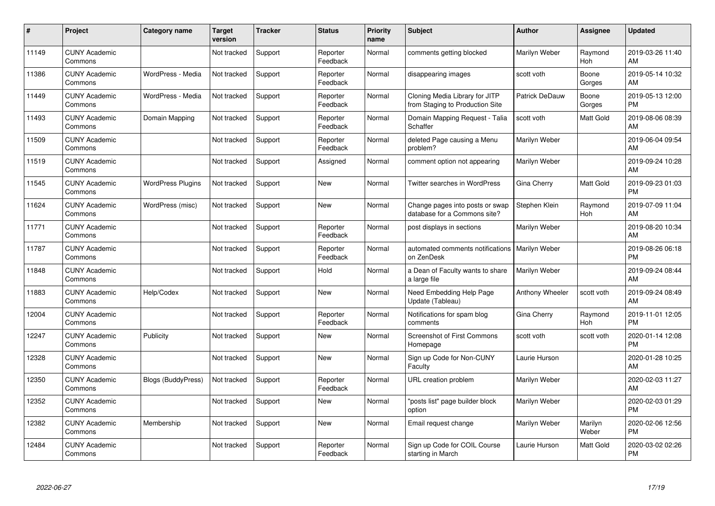| #     | Project                         | <b>Category name</b>      | <b>Target</b><br>version | <b>Tracker</b> | <b>Status</b>        | <b>Priority</b><br>name | <b>Subject</b>                                                    | <b>Author</b>   | <b>Assignee</b>       | <b>Updated</b>                |
|-------|---------------------------------|---------------------------|--------------------------|----------------|----------------------|-------------------------|-------------------------------------------------------------------|-----------------|-----------------------|-------------------------------|
| 11149 | <b>CUNY Academic</b><br>Commons |                           | Not tracked              | Support        | Reporter<br>Feedback | Normal                  | comments getting blocked                                          | Marilyn Weber   | Raymond<br><b>Hoh</b> | 2019-03-26 11:40<br>AM        |
| 11386 | <b>CUNY Academic</b><br>Commons | WordPress - Media         | Not tracked              | Support        | Reporter<br>Feedback | Normal                  | disappearing images                                               | scott voth      | Boone<br>Gorges       | 2019-05-14 10:32<br>AM        |
| 11449 | <b>CUNY Academic</b><br>Commons | WordPress - Media         | Not tracked              | Support        | Reporter<br>Feedback | Normal                  | Cloning Media Library for JITP<br>from Staging to Production Site | Patrick DeDauw  | Boone<br>Gorges       | 2019-05-13 12:00<br><b>PM</b> |
| 11493 | <b>CUNY Academic</b><br>Commons | Domain Mapping            | Not tracked              | Support        | Reporter<br>Feedback | Normal                  | Domain Mapping Request - Talia<br>Schaffer                        | scott voth      | Matt Gold             | 2019-08-06 08:39<br>AM        |
| 11509 | <b>CUNY Academic</b><br>Commons |                           | Not tracked              | Support        | Reporter<br>Feedback | Normal                  | deleted Page causing a Menu<br>problem?                           | Marilyn Weber   |                       | 2019-06-04 09:54<br>AM        |
| 11519 | <b>CUNY Academic</b><br>Commons |                           | Not tracked              | Support        | Assigned             | Normal                  | comment option not appearing                                      | Marilyn Weber   |                       | 2019-09-24 10:28<br>AM        |
| 11545 | <b>CUNY Academic</b><br>Commons | <b>WordPress Plugins</b>  | Not tracked              | Support        | New                  | Normal                  | Twitter searches in WordPress                                     | Gina Cherry     | Matt Gold             | 2019-09-23 01:03<br>PM        |
| 11624 | <b>CUNY Academic</b><br>Commons | WordPress (misc)          | Not tracked              | Support        | <b>New</b>           | Normal                  | Change pages into posts or swap<br>database for a Commons site?   | Stephen Klein   | Raymond<br>Hoh        | 2019-07-09 11:04<br>AM        |
| 11771 | <b>CUNY Academic</b><br>Commons |                           | Not tracked              | Support        | Reporter<br>Feedback | Normal                  | post displays in sections                                         | Marilyn Weber   |                       | 2019-08-20 10:34<br>AM        |
| 11787 | <b>CUNY Academic</b><br>Commons |                           | Not tracked              | Support        | Reporter<br>Feedback | Normal                  | automated comments notifications<br>on ZenDesk                    | Marilyn Weber   |                       | 2019-08-26 06:18<br><b>PM</b> |
| 11848 | <b>CUNY Academic</b><br>Commons |                           | Not tracked              | Support        | Hold                 | Normal                  | a Dean of Faculty wants to share<br>a large file                  | Marilyn Weber   |                       | 2019-09-24 08:44<br>AM        |
| 11883 | <b>CUNY Academic</b><br>Commons | Help/Codex                | Not tracked              | Support        | New                  | Normal                  | Need Embedding Help Page<br>Update (Tableau)                      | Anthony Wheeler | scott voth            | 2019-09-24 08:49<br>AM        |
| 12004 | <b>CUNY Academic</b><br>Commons |                           | Not tracked              | Support        | Reporter<br>Feedback | Normal                  | Notifications for spam blog<br>comments                           | Gina Cherry     | Raymond<br>Hoh        | 2019-11-01 12:05<br><b>PM</b> |
| 12247 | <b>CUNY Academic</b><br>Commons | Publicity                 | Not tracked              | Support        | New                  | Normal                  | <b>Screenshot of First Commons</b><br>Homepage                    | scott voth      | scott voth            | 2020-01-14 12:08<br><b>PM</b> |
| 12328 | <b>CUNY Academic</b><br>Commons |                           | Not tracked              | Support        | New                  | Normal                  | Sign up Code for Non-CUNY<br>Faculty                              | Laurie Hurson   |                       | 2020-01-28 10:25<br>AM        |
| 12350 | <b>CUNY Academic</b><br>Commons | <b>Blogs (BuddyPress)</b> | Not tracked              | Support        | Reporter<br>Feedback | Normal                  | URL creation problem                                              | Marilyn Weber   |                       | 2020-02-03 11:27<br>AM        |
| 12352 | <b>CUNY Academic</b><br>Commons |                           | Not tracked              | Support        | <b>New</b>           | Normal                  | "posts list" page builder block<br>option                         | Marilyn Weber   |                       | 2020-02-03 01:29<br><b>PM</b> |
| 12382 | <b>CUNY Academic</b><br>Commons | Membership                | Not tracked              | Support        | <b>New</b>           | Normal                  | Email request change                                              | Marilyn Weber   | Marilyn<br>Weber      | 2020-02-06 12:56<br><b>PM</b> |
| 12484 | <b>CUNY Academic</b><br>Commons |                           | Not tracked              | Support        | Reporter<br>Feedback | Normal                  | Sign up Code for COIL Course<br>starting in March                 | Laurie Hurson   | Matt Gold             | 2020-03-02 02:26<br>PM        |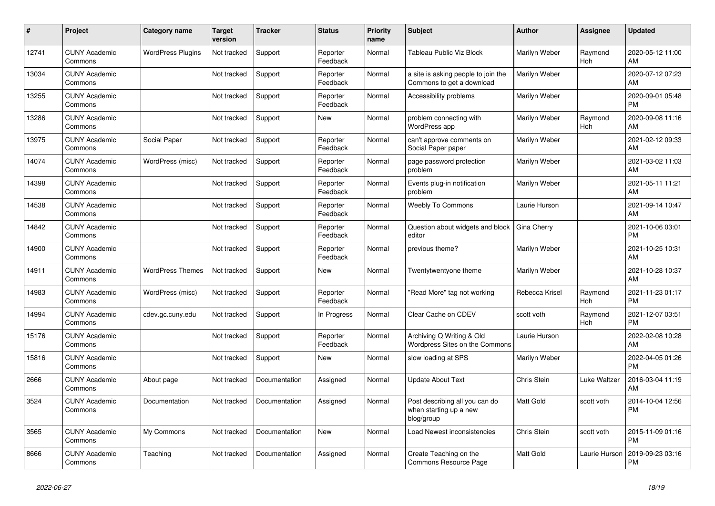| #     | <b>Project</b>                  | <b>Category name</b>     | <b>Target</b><br>version | Tracker       | <b>Status</b>        | <b>Priority</b><br>name | <b>Subject</b>                                                         | <b>Author</b>      | Assignee              | <b>Updated</b>                |
|-------|---------------------------------|--------------------------|--------------------------|---------------|----------------------|-------------------------|------------------------------------------------------------------------|--------------------|-----------------------|-------------------------------|
| 12741 | <b>CUNY Academic</b><br>Commons | <b>WordPress Plugins</b> | Not tracked              | Support       | Reporter<br>Feedback | Normal                  | Tableau Public Viz Block                                               | Marilyn Weber      | Raymond<br><b>Hoh</b> | 2020-05-12 11:00<br>AM        |
| 13034 | <b>CUNY Academic</b><br>Commons |                          | Not tracked              | Support       | Reporter<br>Feedback | Normal                  | a site is asking people to join the<br>Commons to get a download       | Marilyn Weber      |                       | 2020-07-12 07:23<br>AM        |
| 13255 | <b>CUNY Academic</b><br>Commons |                          | Not tracked              | Support       | Reporter<br>Feedback | Normal                  | Accessibility problems                                                 | Marilyn Weber      |                       | 2020-09-01 05:48<br><b>PM</b> |
| 13286 | <b>CUNY Academic</b><br>Commons |                          | Not tracked              | Support       | <b>New</b>           | Normal                  | problem connecting with<br>WordPress app                               | Marilyn Weber      | Raymond<br><b>Hoh</b> | 2020-09-08 11:16<br>AM        |
| 13975 | <b>CUNY Academic</b><br>Commons | Social Paper             | Not tracked              | Support       | Reporter<br>Feedback | Normal                  | can't approve comments on<br>Social Paper paper                        | Marilyn Weber      |                       | 2021-02-12 09:33<br>AM        |
| 14074 | <b>CUNY Academic</b><br>Commons | WordPress (misc)         | Not tracked              | Support       | Reporter<br>Feedback | Normal                  | page password protection<br>problem                                    | Marilyn Weber      |                       | 2021-03-02 11:03<br>AM        |
| 14398 | <b>CUNY Academic</b><br>Commons |                          | Not tracked              | Support       | Reporter<br>Feedback | Normal                  | Events plug-in notification<br>problem                                 | Marilyn Weber      |                       | 2021-05-11 11:21<br>AM        |
| 14538 | <b>CUNY Academic</b><br>Commons |                          | Not tracked              | Support       | Reporter<br>Feedback | Normal                  | <b>Weebly To Commons</b>                                               | Laurie Hurson      |                       | 2021-09-14 10:47<br>AM        |
| 14842 | <b>CUNY Academic</b><br>Commons |                          | Not tracked              | Support       | Reporter<br>Feedback | Normal                  | Question about widgets and block<br>editor                             | Gina Cherry        |                       | 2021-10-06 03:01<br><b>PM</b> |
| 14900 | <b>CUNY Academic</b><br>Commons |                          | Not tracked              | Support       | Reporter<br>Feedback | Normal                  | previous theme?                                                        | Marilyn Weber      |                       | 2021-10-25 10:31<br>AM        |
| 14911 | <b>CUNY Academic</b><br>Commons | <b>WordPress Themes</b>  | Not tracked              | Support       | <b>New</b>           | Normal                  | Twentytwentyone theme                                                  | Marilyn Weber      |                       | 2021-10-28 10:37<br>AM        |
| 14983 | <b>CUNY Academic</b><br>Commons | WordPress (misc)         | Not tracked              | Support       | Reporter<br>Feedback | Normal                  | "Read More" tag not working                                            | Rebecca Krisel     | Raymond<br>Hoh        | 2021-11-23 01:17<br><b>PM</b> |
| 14994 | <b>CUNY Academic</b><br>Commons | cdev.gc.cuny.edu         | Not tracked              | Support       | In Progress          | Normal                  | Clear Cache on CDEV                                                    | scott voth         | Raymond<br><b>Hoh</b> | 2021-12-07 03:51<br><b>PM</b> |
| 15176 | <b>CUNY Academic</b><br>Commons |                          | Not tracked              | Support       | Reporter<br>Feedback | Normal                  | Archiving Q Writing & Old<br>Wordpress Sites on the Commons            | Laurie Hurson      |                       | 2022-02-08 10:28<br>AM        |
| 15816 | <b>CUNY Academic</b><br>Commons |                          | Not tracked              | Support       | <b>New</b>           | Normal                  | slow loading at SPS                                                    | Marilyn Weber      |                       | 2022-04-05 01:26<br><b>PM</b> |
| 2666  | <b>CUNY Academic</b><br>Commons | About page               | Not tracked              | Documentation | Assigned             | Normal                  | <b>Update About Text</b>                                               | <b>Chris Stein</b> | Luke Waltzer          | 2016-03-04 11:19<br>AM        |
| 3524  | <b>CUNY Academic</b><br>Commons | Documentation            | Not tracked              | Documentation | Assigned             | Normal                  | Post describing all you can do<br>when starting up a new<br>blog/group | Matt Gold          | scott voth            | 2014-10-04 12:56<br><b>PM</b> |
| 3565  | <b>CUNY Academic</b><br>Commons | My Commons               | Not tracked              | Documentation | <b>New</b>           | Normal                  | Load Newest inconsistencies                                            | <b>Chris Stein</b> | scott voth            | 2015-11-09 01:16<br><b>PM</b> |
| 8666  | <b>CUNY Academic</b><br>Commons | Teaching                 | Not tracked              | Documentation | Assigned             | Normal                  | Create Teaching on the<br>Commons Resource Page                        | Matt Gold          | Laurie Hurson         | 2019-09-23 03:16<br><b>PM</b> |